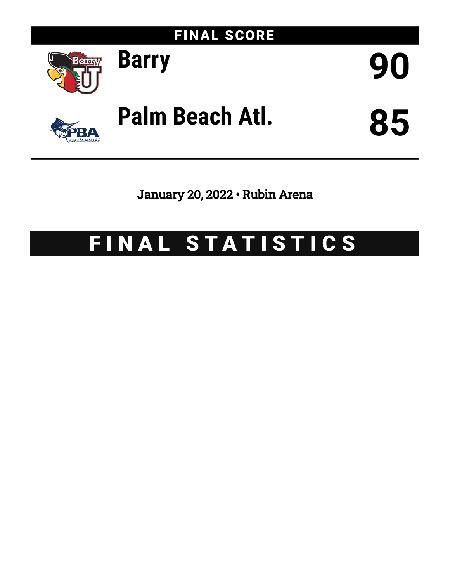

January 20, 2022 • Rubin Arena

# FINAL STATISTICS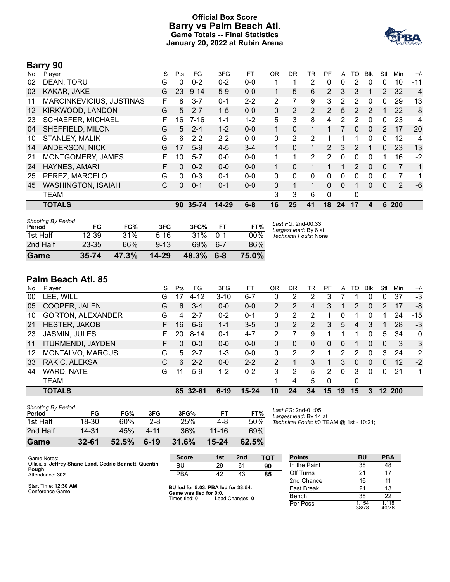### **Official Box Score Barry vs Palm Beach Atl. Game Totals -- Final Statistics January 20, 2022 at Rubin Arena**



## **Barry 90**

| No. | Player                    | S | <b>Pts</b> | FG        | 3FG       | FT      | <b>OR</b> | DR       | TR | PF             | A  | TO | <b>BIK</b> | Stl                   | Min | $+/-$ |
|-----|---------------------------|---|------------|-----------|-----------|---------|-----------|----------|----|----------------|----|----|------------|-----------------------|-----|-------|
| 02  | DEAN, TORU                | G | 0          | $0 - 2$   | $0 - 2$   | $0-0$   |           |          | 2  | 0              | 0  | 2  | $\Omega$   | 0                     | 10  | $-11$ |
| 03  | KAKAR, JAKE               | G | 23         | $9 - 14$  | $5-9$     | $0 - 0$ |           | 5        | 6  | $\overline{2}$ | 3  | 3  |            | $\mathbf{2}^{\prime}$ | 32  | 4     |
| 11  | MARCINKEVICIUS, JUSTINAS  | F | 8          | $3 - 7$   | $0 - 1$   | $2 - 2$ | 2         | 7        | 9  | 3              | 2  | 2  | 0          | 0                     | 29  | 13    |
| 12  | KIRKWOOD, LANDON          | G | 5          | $2 - 7$   | $1 - 5$   | $0 - 0$ | 0         | 2        | 2  | 2              | 5  | 2  | 2          |                       | 22  | -8    |
| 23  | <b>SCHAEFER, MICHAEL</b>  | F | 16         | $7 - 16$  | $1 - 1$   | $1 - 2$ | 5         | 3        | 8  | 4              | 2  | 2  | 0          | 0                     | 23  | 4     |
| 04  | SHEFFIELD, MILON          | G | 5          | $2 - 4$   | $1 - 2$   | $0 - 0$ |           | $\Omega$ | 1  |                |    | 0  | $\Omega$   | 2                     | 17  | 20    |
| 10  | <b>STANLEY, MALIK</b>     | G | 6          | $2 - 2$   | $2 - 2$   | $0 - 0$ | 0         | 2        | 2  |                |    |    | 0          | 0                     | 12  | $-4$  |
| 14  | <b>ANDERSON, NICK</b>     | G | 17         | $5-9$     | $4 - 5$   | $3 - 4$ |           | $\Omega$ | 1  | $\overline{2}$ | 3  | 2  |            | 0                     | 23  | 13    |
| 21  | MONTGOMERY, JAMES         | F | 10         | $5 - 7$   | $0 - 0$   | $0 - 0$ | 1         | 1        | 2  | 2              | 0  | 0  | 0          | 1                     | 16  | $-2$  |
| 24  | HAYNES, AMARI             | F | $\Omega$   | $0 - 2$   | $0 - 0$   | $0 - 0$ |           | $\Omega$ |    |                |    | 2  | $\Omega$   | 0                     | 7   | 1     |
| 25  | PEREZ, MARCELO            | G | 0          | $0 - 3$   | $0 - 1$   | $0 - 0$ | 0         | 0        | 0  | 0              | 0  | 0  | 0          | 0                     | 7   | 1     |
| 45  | <b>WASHINGTON, ISAIAH</b> | С | 0          | $0 - 1$   | $0 - 1$   | $0 - 0$ | 0         | 1        | 1  | $\Omega$       | 0  |    | $\Omega$   | 0                     | 2   | -6    |
|     | <b>TEAM</b>               |   |            |           |           |         | 3         | 3        | 6  | $\Omega$       |    | 0  |            |                       |     |       |
|     | <b>TOTALS</b>             |   | 90         | $35 - 74$ | $14 - 29$ | $6 - 8$ | 16        | 25       | 41 | 18             | 24 | 17 | 4          | 6                     | 200 |       |

| <b>Shooting By Period</b><br>Period | FG        | FG%   | 3FG       | 3FG%  | FT      | FT%   | Last FG: 2nd-00:33<br>Largest lead: By 6 at |
|-------------------------------------|-----------|-------|-----------|-------|---------|-------|---------------------------------------------|
| 1st Half                            | $12 - 39$ | 31%   | $5-16$    | 31%   | $0 - 1$ | 00%   | Technical Fouls: None.                      |
| 2nd Half                            | $23 - 35$ | 66%   | $9 - 13$  | 69%   | 6-7     | 86%   |                                             |
| Game                                | $35 - 74$ | 47.3% | $14 - 29$ | 48.3% | $6 - 8$ | 75.0% |                                             |

# **Palm Beach Atl. 85**

|     | <b>TOTALS</b>            |    |              | 85 32-61 | $6 - 19$ | $15 - 24$ | 10             | 24 | 34                    | 15       | 19       | 15 | 3        |          | 12 200 |                |
|-----|--------------------------|----|--------------|----------|----------|-----------|----------------|----|-----------------------|----------|----------|----|----------|----------|--------|----------------|
|     | <b>TEAM</b>              |    |              |          |          |           |                | 4  | 5                     | $\Omega$ |          | 0  |          |          |        |                |
| 44  | WARD, NATE               | G  | 11           | $5-9$    | $1 - 2$  | $0 - 2$   | 3              | 2  | 5                     | 2        | $\Omega$ | 3  | $\Omega$ | $\Omega$ | 21     | 1              |
| 33  | RAKIC, ALEKSA            | C  | 6            | $2 - 2$  | $0 - 0$  | $2 - 2$   | 2              |    | 3                     |          | 3        | 0  | $\Omega$ | 0        | 12     | $-2$           |
| 12  | MONTALVO, MARCUS         | G  | 5.           | $2 - 7$  | 1-3      | $0 - 0$   | $\Omega$       | 2  | 2                     |          | 2        | 2  | $\Omega$ | 3        | 24     | $\overline{2}$ |
| 11  | <b>ITURMENDI, JAYDEN</b> | F. | $\mathbf{0}$ | $0 - 0$  | $0 - 0$  | $0 - 0$   | 0              | 0  | 0                     | 0        | 0        |    | 0        | $\Omega$ | 3      | -3             |
| 23  | <b>JASMIN, JULES</b>     | F. | 20           | $8 - 14$ | $0 - 1$  | $4 - 7$   | 2              |    | 9                     |          |          |    | 0        | 5        | 34     | $\mathbf{0}$   |
| 21  | <b>HESTER, JAKOB</b>     | F. | 16           | $6 - 6$  | $1 - 1$  | $3 - 5$   | 0              | 2  | $\mathbf{2}^{\prime}$ | 3.       | 5        | 4  | 3        |          | 28     | -3             |
| 10  | <b>GORTON, ALEXANDER</b> | G  | 4            | $2 - 7$  | $0 - 2$  | $0 - 1$   | 0              | 2  | 2                     |          |          |    |          |          | 24     | $-15$          |
| 05  | COOPER, JALEN            | G  | 6            | $3 - 4$  | $0 - 0$  | $0 - 0$   | $\overline{2}$ | 2  | 4                     | 3.       |          | 2  | 0        | 2        | 17     | -8             |
| 00  | LEE, WILL                | G  |              | $4 - 12$ | $3 - 10$ | $6 - 7$   | 0              | 2  | 2                     | 3        |          |    | 0        | 0        | 37     | -3             |
| No. | Player                   | S  | Pts          | FG.      | 3FG      | FТ        | ΟR             | DR | TR                    | PF       | A        | TO | Blk      | Stl      | Min    | $+/-$          |

| <b>Shooting By Period</b><br>Period | FG        | FG%   | 3FG     | 3FG%  | FТ    | FT%   |
|-------------------------------------|-----------|-------|---------|-------|-------|-------|
| 1st Half                            | 18-30     | 60%   | $2 - 8$ | 25%   | 4-8   | 50%   |
| 2nd Half                            | 14.31     | 45%   | 4-11    | 36%   | 11-16 | 69%   |
| Game                                | $32 - 61$ | 52.5% | $6-19$  | 31.6% | 15-24 | 62.5% |

*Last FG:* 2nd-01:05 *Largest lead:* By 14 at *Technical Fouls:* #0 TEAM @ 1st - 10:21;

| Game Notes:                                            | <b>Score</b>                            | 1st | 2 <sub>nd</sub> | тот | <b>Points</b>     | BU             | <b>PBA</b>     |
|--------------------------------------------------------|-----------------------------------------|-----|-----------------|-----|-------------------|----------------|----------------|
| Officials: Jeffrey Shane Land, Cedric Bennett, Quentin | BU                                      | 29  | 61              | 90  | In the Paint      | 38             | 48             |
| Pough<br>Attendance: 302                               | <b>PBA</b>                              | 42  | 43              | 85  | Off Turns         | 21             | 17             |
|                                                        |                                         |     |                 |     | 2nd Chance        | 16             | 11             |
| Start Time: 12:30 AM<br>Conference Game:               | BU led for 5:03. PBA led for 33:54.     |     |                 |     | <b>Fast Break</b> | 21             | 13             |
|                                                        | Game was tied for 0:0.<br>Times tied: 0 |     | Lead Changes: 0 |     | Bench             | 38             | 22             |
|                                                        |                                         |     |                 |     | Per Poss          | 1.154<br>38/78 | 1.118<br>40/76 |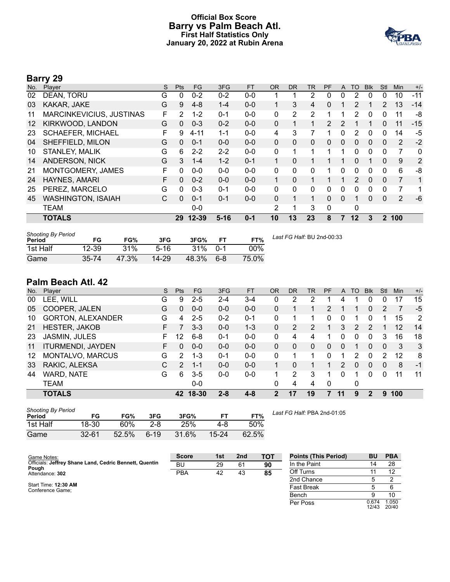#### **Official Box Score Barry vs Palm Beach Atl. First Half Statistics Only January 20, 2022 at Rubin Arena**



# **Barry 29**

| No. | Plaver                    | S  | <b>Pts</b> | <b>FG</b> | 3FG      | <b>FT</b> | <b>OR</b>   | <b>DR</b> | TR | <b>PF</b>    | A            | TO      | <b>BIK</b> | Stl      | Min   | $+/-$        |
|-----|---------------------------|----|------------|-----------|----------|-----------|-------------|-----------|----|--------------|--------------|---------|------------|----------|-------|--------------|
| 02  | DEAN, TORU                | G  | 0          | $0 - 2$   | $0 - 2$  | $0-0$     |             |           | 2  | 0            | 0            | 2       | 0          | 0        | 10    | $-11$        |
| 03  | KAKAR, JAKE               | G  | 9          | $4 - 8$   | $1 - 4$  | $0 - 0$   |             | 3         | 4  | 0            |              | 2       |            | 2        | 13    | $-14$        |
| 11  | MARCINKEVICIUS, JUSTINAS  | F  | 2          | $1 - 2$   | $0 - 1$  | $0 - 0$   | 0           | 2         | 2  |              |              | 2       | 0          | 0        | 11    | -8           |
| 12  | KIRKWOOD, LANDON          | G  | 0          | $0 - 3$   | $0 - 2$  | $0 - 0$   | 0           |           |    | 2            | 2            |         |            | 0        | 11    | $-15$        |
| 23  | SCHAEFER, MICHAEL         | F  | 9          | $4 - 11$  | $1 - 1$  | $0 - 0$   | 4           | 3         |    |              | 0            | 2       | 0          | 0        | 14    | $-5$         |
| 04  | SHEFFIELD, MILON          | G  | 0          | $0 - 1$   | $0 - 0$  | $0 - 0$   | $\Omega$    | 0         | 0  | 0            | $\mathbf{0}$ | 0       | $\Omega$   | $\Omega$ | 2     | $-2$         |
| 10  | <b>STANLEY, MALIK</b>     | G  | 6          | $2 - 2$   | $2 - 2$  | $0 - 0$   | 0           | 1         | 1  | 1            | 1            | 0       | $\Omega$   | $\Omega$ | 7     | $\mathbf{0}$ |
| 14  | <b>ANDERSON, NICK</b>     | G  | 3          | $1 - 4$   | $1 - 2$  | $0 - 1$   |             | $\Omega$  |    |              | 1            | 0       |            | 0        | 9     | 2            |
| 21  | MONTGOMERY, JAMES         | F. | 0          | $0 - 0$   | $0 - 0$  | $0 - 0$   | $\Omega$    | 0         | 0  |              | $\Omega$     | 0       | 0          | $\Omega$ | 6     | -8           |
| 24  | HAYNES, AMARI             | F  | $\Omega$   | $0 - 2$   | $0 - 0$  | $0 - 0$   | $\mathbf 1$ | $\Omega$  |    |              | 1            | 2       | $\Omega$   | $\Omega$ | 7     | 1            |
| 25  | PEREZ, MARCELO            | G  | 0          | $0 - 3$   | $0 - 1$  | $0 - 0$   | $\Omega$    | 0         | 0  | 0            | 0            | 0       | 0          | 0        | 7     | 1            |
| 45  | <b>WASHINGTON, ISAIAH</b> | C  | $\Omega$   | $0 - 1$   | $0 - 1$  | $0 - 0$   | $\Omega$    | 1         | 1  | $\Omega$     | $\Omega$     |         | 0          | $\Omega$ | 2     | $-6$         |
|     | <b>TEAM</b>               |    |            | $0 - 0$   |          |           | 2           | 1         | 3  | $\mathbf{0}$ |              | 0       |            |          |       |              |
|     | <b>TOTALS</b>             |    | 29         | $12 - 39$ | $5 - 16$ | $0 - 1$   | 10          | 13        | 23 | 8            | 7            | $12 \,$ | 3          |          | 2 100 |              |

| <b>Shooting By Period</b><br>Period | FG        | FG%   | 3FG       | 3FG%  | FТ      | FT%    |
|-------------------------------------|-----------|-------|-----------|-------|---------|--------|
| 1st Half                            | 12-39     | 31%   | $5-16$    | 31%   | $0 - 1$ | $00\%$ |
| Game                                | $35 - 74$ | 47.3% | $14 - 29$ | 48.3% | ჩ-ჩ     | 75.0%  |

*Last FG Half:* BU 2nd-00:33

# **Palm Beach Atl. 42**

| No. | Player                   | S  | Pts           | <b>FG</b> | 3FG     | <b>FT</b> | <b>OR</b> | <b>DR</b> | TR           | <b>PF</b> | A            | TO             | <b>Blk</b> | Stl      | Min | $+/-$ |
|-----|--------------------------|----|---------------|-----------|---------|-----------|-----------|-----------|--------------|-----------|--------------|----------------|------------|----------|-----|-------|
| 00  | LEE, WILL                | G  | 9             | $2 - 5$   | $2 - 4$ | $3 - 4$   | 0         | 2         | າ            |           | 4            |                | 0          | 0        | 17  | 15    |
| 05  | COOPER, JALEN            | G  | 0             | $0 - 0$   | $0 - 0$ | $0 - 0$   | 0         |           |              | 2         |              |                | 0          | 2        |     | $-5$  |
| 10  | <b>GORTON, ALEXANDER</b> | G  | 4             | $2 - 5$   | $0 - 2$ | $0 - 1$   | 0         |           |              | 0         | <sup>0</sup> |                | 0          |          | 15  | 2     |
| 21  | <b>HESTER, JAKOB</b>     | F. |               | $3 - 3$   | $0 - 0$ | $1 - 3$   | 0         | 2         |              |           | 3            | $\overline{2}$ | 2          |          | 12  | 14    |
| 23  | <b>JASMIN, JULES</b>     | F  | 12            | $6 - 8$   | $0 - 1$ | $0 - 0$   | 0         | 4         | 4            |           | n            | 0              | 0          | 3        | 16  | 18    |
| 11  | <b>ITURMENDI, JAYDEN</b> | F. | 0             | $0 - 0$   | $0 - 0$ | $0 - 0$   | 0         | 0         | $\mathbf{0}$ | $\Omega$  | 0            |                | 0          | $\Omega$ | 3   | -3    |
| 12  | MONTALVO, MARCUS         | G  | 2             | $1 - 3$   | $0 - 1$ | $0 - 0$   | 0         |           |              | 0         |              | 2              | 0          | 2        | 12  | 8     |
| 33  | RAKIC, ALEKSA            | C  | $\mathcal{P}$ | $1 - 1$   | $0 - 0$ | $0 - 0$   |           | 0         |              |           | 2            | 0              | $\Omega$   | $\Omega$ | 8   | -1    |
| 44  | WARD, NATE               | G  | 6             | $3 - 5$   | $0 - 0$ | $0 - 0$   |           | 2         | 3            |           | 0            | 1              | 0          | 0        | 11  | 11    |
|     | <b>TEAM</b>              |    |               | $0 - 0$   |         |           | 0         | 4         | 4            | $\Omega$  |              | 0              |            |          |     |       |
|     | <b>TOTALS</b>            |    | 42            | 18-30     | $2 - 8$ | $4 - 8$   | 2         | 17        | 19           |           |              | 9              | 2          | 9        | 100 |       |

| <b>Shooting By Period</b> |           |       |         |       |           |       |
|---------------------------|-----------|-------|---------|-------|-----------|-------|
| Period                    | FG        | FG%   | 3FG     | 3FG%  |           | FT%   |
| 1st Half                  | 18-30     | 60%   | $2 - 8$ | 25%   | 4-8       | 50%   |
| Game                      | $32 - 61$ | 52.5% | $6-19$  | 31.6% | $15 - 24$ | 62.5% |

*Last FG Half:* PBA 2nd-01:05

| Game Notes:                                                     | <b>Score</b> | 1st | 2 <sub>nd</sub> | тот | <b>Points (This Period)</b> | <b>BU</b>      | <b>PBA</b>     |
|-----------------------------------------------------------------|--------------|-----|-----------------|-----|-----------------------------|----------------|----------------|
| Officials: Jeffrey Shane Land, Cedric Bennett, Quentin<br>Pough | BU           | 29  | 61              | 90  | In the Paint                | 14             | 28             |
| Attendance: 302                                                 | <b>PBA</b>   | 42  | 43              | 85  | Off Turns                   |                | 12             |
|                                                                 |              |     |                 |     | 2nd Chance                  |                |                |
| Start Time: 12:30 AM<br>Conference Game:                        |              |     |                 |     | <b>Fast Break</b>           |                |                |
|                                                                 |              |     |                 |     | Bench                       |                | 10             |
|                                                                 |              |     |                 |     | Per Poss                    | 0.674<br>12/43 | 1.050<br>20/40 |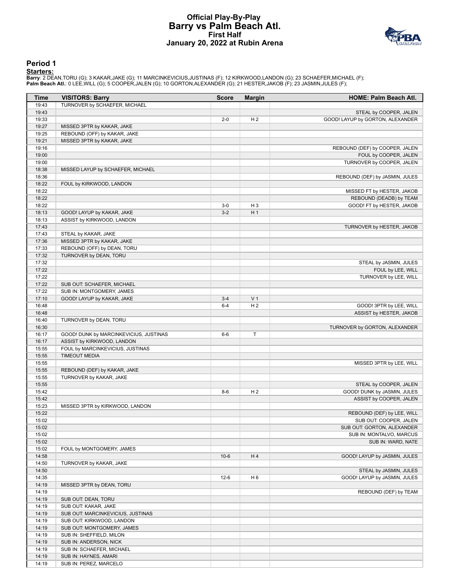### **Official Play-By-Play Barry vs Palm Beach Atl. First Half January 20, 2022 at Rubin Arena**



#### **Period 1**

<mark>Starters:</mark><br>Barry: 2 DEAN,TORU (G); 3 KAKAR,JAKE (G); 11 MARCINKEVICIUS,JUSTINAS (F); 12 KIRKWOOD,LANDON (G); 23 SCHAEFER,MICHAEL (F);<br>**Palm Beach Atl.**: 0 LEE,WILL (G); 5 COOPER,JALEN (G); 10 GORTON,ALEXANDER (G); 21 HEST

| Time  | <b>VISITORS: Barry</b>                 | <b>Score</b> | <b>Margin</b>  | HOME: Palm Beach Atl.            |
|-------|----------------------------------------|--------------|----------------|----------------------------------|
| 19:43 | TURNOVER by SCHAEFER, MICHAEL          |              |                |                                  |
| 19:43 |                                        |              |                | STEAL by COOPER, JALEN           |
| 19:33 |                                        | $2 - 0$      | H <sub>2</sub> | GOOD! LAYUP by GORTON, ALEXANDER |
| 19:27 | MISSED 3PTR by KAKAR, JAKE             |              |                |                                  |
| 19:25 | REBOUND (OFF) by KAKAR, JAKE           |              |                |                                  |
| 19:21 | MISSED 3PTR by KAKAR, JAKE             |              |                |                                  |
| 19:16 |                                        |              |                | REBOUND (DEF) by COOPER, JALEN   |
| 19:00 |                                        |              |                | FOUL by COOPER, JALEN            |
| 19:00 |                                        |              |                | TURNOVER by COOPER, JALEN        |
| 18:38 | MISSED LAYUP by SCHAEFER, MICHAEL      |              |                |                                  |
| 18:36 |                                        |              |                | REBOUND (DEF) by JASMIN, JULES   |
| 18:22 | FOUL by KIRKWOOD, LANDON               |              |                |                                  |
| 18:22 |                                        |              |                | MISSED FT by HESTER, JAKOB       |
| 18:22 |                                        |              |                | REBOUND (DEADB) by TEAM          |
| 18:22 |                                        | $3-0$        | $H_3$          | GOOD! FT by HESTER, JAKOB        |
| 18:13 | GOOD! LAYUP by KAKAR, JAKE             | $3-2$        | H <sub>1</sub> |                                  |
| 18:13 | ASSIST by KIRKWOOD, LANDON             |              |                |                                  |
| 17:43 |                                        |              |                | TURNOVER by HESTER, JAKOB        |
| 17:43 | STEAL by KAKAR, JAKE                   |              |                |                                  |
| 17:36 | MISSED 3PTR by KAKAR, JAKE             |              |                |                                  |
| 17:33 | REBOUND (OFF) by DEAN, TORU            |              |                |                                  |
| 17:32 | TURNOVER by DEAN, TORU                 |              |                |                                  |
| 17:32 |                                        |              |                | STEAL by JASMIN, JULES           |
| 17:22 |                                        |              |                | FOUL by LEE, WILL                |
| 17:22 |                                        |              |                | TURNOVER by LEE, WILL            |
| 17:22 | SUB OUT: SCHAEFER, MICHAEL             |              |                |                                  |
| 17:22 | SUB IN: MONTGOMERY, JAMES              |              |                |                                  |
| 17:10 | GOOD! LAYUP by KAKAR, JAKE             | $3-4$        | V <sub>1</sub> |                                  |
| 16:48 |                                        | $6 - 4$      | H <sub>2</sub> | GOOD! 3PTR by LEE, WILL          |
| 16:48 |                                        |              |                | ASSIST by HESTER, JAKOB          |
| 16:40 | TURNOVER by DEAN, TORU                 |              |                |                                  |
| 16:30 |                                        |              |                | TURNOVER by GORTON, ALEXANDER    |
| 16:17 | GOOD! DUNK by MARCINKEVICIUS, JUSTINAS | $6-6$        | Τ              |                                  |
| 16:17 | ASSIST by KIRKWOOD, LANDON             |              |                |                                  |
| 15:55 | FOUL by MARCINKEVICIUS, JUSTINAS       |              |                |                                  |
| 15:55 | <b>TIMEOUT MEDIA</b>                   |              |                |                                  |
| 15:55 |                                        |              |                | MISSED 3PTR by LEE, WILL         |
| 15:55 | REBOUND (DEF) by KAKAR, JAKE           |              |                |                                  |
| 15:55 | TURNOVER by KAKAR, JAKE                |              |                |                                  |
| 15:55 |                                        |              |                | STEAL by COOPER, JALEN           |
| 15:42 |                                        | $8-6$        | H <sub>2</sub> | GOOD! DUNK by JASMIN, JULES      |
| 15:42 |                                        |              |                | ASSIST by COOPER, JALEN          |
| 15:23 | MISSED 3PTR by KIRKWOOD, LANDON        |              |                |                                  |
| 15:22 |                                        |              |                | REBOUND (DEF) by LEE, WILL       |
| 15:02 |                                        |              |                | SUB OUT: COOPER, JALEN           |
| 15:02 |                                        |              |                | SUB OUT: GORTON, ALEXANDER       |
| 15:02 |                                        |              |                | SUB IN: MONTALVO, MARCUS         |
| 15:02 |                                        |              |                | SUB IN: WARD, NATE               |
| 15:02 | FOUL by MONTGOMERY, JAMES              |              |                |                                  |
| 14:58 |                                        | $10-6$       | H4             | GOOD! LAYUP by JASMIN, JULES     |
| 14:50 | TURNOVER by KAKAR, JAKE                |              |                |                                  |
| 14:50 |                                        |              |                | STEAL by JASMIN, JULES           |
| 14:35 |                                        | $12-6$       | H <sub>6</sub> | GOOD! LAYUP by JASMIN, JULES     |
| 14:19 | MISSED 3PTR by DEAN, TORU              |              |                |                                  |
| 14:19 |                                        |              |                | REBOUND (DEF) by TEAM            |
| 14:19 | SUB OUT: DEAN, TORU                    |              |                |                                  |
| 14:19 | SUB OUT: KAKAR, JAKE                   |              |                |                                  |
| 14:19 | SUB OUT: MARCINKEVICIUS, JUSTINAS      |              |                |                                  |
| 14:19 | SUB OUT: KIRKWOOD, LANDON              |              |                |                                  |
| 14:19 | SUB OUT: MONTGOMERY, JAMES             |              |                |                                  |
| 14:19 | SUB IN: SHEFFIELD, MILON               |              |                |                                  |
| 14:19 | SUB IN: ANDERSON, NICK                 |              |                |                                  |
| 14:19 | SUB IN: SCHAEFER, MICHAEL              |              |                |                                  |
| 14:19 | SUB IN: HAYNES, AMARI                  |              |                |                                  |
| 14:19 | SUB IN: PEREZ, MARCELO                 |              |                |                                  |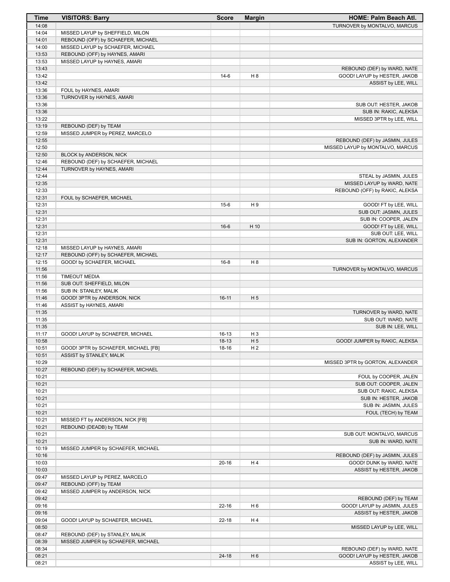| <b>Time</b>    | <b>VISITORS: Barry</b>               | <b>Score</b> | <b>Margin</b>  | HOME: Palm Beach Atl.            |
|----------------|--------------------------------------|--------------|----------------|----------------------------------|
| 14:08          |                                      |              |                | TURNOVER by MONTALVO, MARCUS     |
| 14:04          | MISSED LAYUP by SHEFFIELD, MILON     |              |                |                                  |
| 14:01          | REBOUND (OFF) by SCHAEFER, MICHAEL   |              |                |                                  |
| 14:00          | MISSED LAYUP by SCHAEFER, MICHAEL    |              |                |                                  |
| 13:53          | REBOUND (OFF) by HAYNES, AMARI       |              |                |                                  |
| 13:53          | MISSED LAYUP by HAYNES, AMARI        |              |                |                                  |
| 13:43          |                                      |              |                | REBOUND (DEF) by WARD, NATE      |
| 13:42          |                                      | $14-6$       | H 8            | GOOD! LAYUP by HESTER, JAKOB     |
| 13:42          |                                      |              |                | ASSIST by LEE, WILL              |
| 13:36          | FOUL by HAYNES, AMARI                |              |                |                                  |
| 13:36          | TURNOVER by HAYNES, AMARI            |              |                |                                  |
| 13:36          |                                      |              |                | SUB OUT: HESTER, JAKOB           |
| 13:36          |                                      |              |                | SUB IN: RAKIC, ALEKSA            |
| 13:22          |                                      |              |                | MISSED 3PTR by LEE, WILL         |
| 13:19          | REBOUND (DEF) by TEAM                |              |                |                                  |
| 12:59          | MISSED JUMPER by PEREZ, MARCELO      |              |                |                                  |
| 12:55          |                                      |              |                | REBOUND (DEF) by JASMIN, JULES   |
| 12:50          |                                      |              |                | MISSED LAYUP by MONTALVO, MARCUS |
| 12:50          | BLOCK by ANDERSON, NICK              |              |                |                                  |
| 12:46          | REBOUND (DEF) by SCHAEFER, MICHAEL   |              |                |                                  |
| 12:44          | TURNOVER by HAYNES, AMARI            |              |                |                                  |
| 12:44          |                                      |              |                | STEAL by JASMIN, JULES           |
| 12:35          |                                      |              |                | MISSED LAYUP by WARD, NATE       |
| 12:33          |                                      |              |                | REBOUND (OFF) by RAKIC, ALEKSA   |
| 12:31          | FOUL by SCHAEFER, MICHAEL            |              |                |                                  |
| 12:31          |                                      | $15-6$       | H 9            | GOOD! FT by LEE, WILL            |
| 12:31          |                                      |              |                | SUB OUT: JASMIN, JULES           |
| 12:31          |                                      |              |                | SUB IN: COOPER, JALEN            |
| 12:31          |                                      | $16-6$       | H 10           | GOOD! FT by LEE, WILL            |
| 12:31          |                                      |              |                | SUB OUT: LEE, WILL               |
| 12:31          |                                      |              |                | SUB IN: GORTON, ALEXANDER        |
| 12:18          | MISSED LAYUP by HAYNES, AMARI        |              |                |                                  |
| 12:17<br>12:15 | REBOUND (OFF) by SCHAEFER, MICHAEL   | $16 - 8$     |                |                                  |
| 11:56          | GOOD! by SCHAEFER, MICHAEL           |              | H <sub>8</sub> | TURNOVER by MONTALVO, MARCUS     |
| 11:56          | <b>TIMEOUT MEDIA</b>                 |              |                |                                  |
| 11:56          | SUB OUT: SHEFFIELD, MILON            |              |                |                                  |
| 11:56          | SUB IN: STANLEY, MALIK               |              |                |                                  |
| 11:46          | GOOD! 3PTR by ANDERSON, NICK         | $16-11$      | H <sub>5</sub> |                                  |
| 11:46          | ASSIST by HAYNES, AMARI              |              |                |                                  |
| 11:35          |                                      |              |                | TURNOVER by WARD, NATE           |
| 11:35          |                                      |              |                | SUB OUT: WARD, NATE              |
| 11:35          |                                      |              |                | SUB IN: LEE, WILL                |
| 11:17          | GOOD! LAYUP by SCHAEFER, MICHAEL     | $16-13$      | $H_3$          |                                  |
| 10:58          |                                      | 18-13        | H <sub>5</sub> | GOOD! JUMPER by RAKIC, ALEKSA    |
| 10:51          | GOOD! 3PTR by SCHAEFER, MICHAEL [FB] | 18-16        | H <sub>2</sub> |                                  |
| 10:51          | ASSIST by STANLEY, MALIK             |              |                |                                  |
| 10:29          |                                      |              |                | MISSED 3PTR by GORTON, ALEXANDER |
| 10:27          | REBOUND (DEF) by SCHAEFER, MICHAEL   |              |                |                                  |
| 10:21          |                                      |              |                | FOUL by COOPER, JALEN            |
| 10:21          |                                      |              |                | SUB OUT: COOPER, JALEN           |
| 10:21          |                                      |              |                | SUB OUT: RAKIC, ALEKSA           |
| 10:21          |                                      |              |                | SUB IN: HESTER, JAKOB            |
| 10:21          |                                      |              |                | SUB IN: JASMIN, JULES            |
| 10:21          |                                      |              |                | FOUL (TECH) by TEAM              |
| 10:21          | MISSED FT by ANDERSON, NICK [FB]     |              |                |                                  |
| 10:21          | REBOUND (DEADB) by TEAM              |              |                |                                  |
| 10:21          |                                      |              |                | SUB OUT: MONTALVO, MARCUS        |
| 10:21          |                                      |              |                | SUB IN: WARD, NATE               |
| 10:19          | MISSED JUMPER by SCHAEFER, MICHAEL   |              |                |                                  |
| 10:16          |                                      |              |                | REBOUND (DEF) by JASMIN, JULES   |
| 10:03          |                                      | $20 - 16$    | H4             | GOOD! DUNK by WARD, NATE         |
| 10:03          |                                      |              |                | <b>ASSIST by HESTER, JAKOB</b>   |
| 09:47          | MISSED LAYUP by PEREZ, MARCELO       |              |                |                                  |
| 09:47          | REBOUND (OFF) by TEAM                |              |                |                                  |
| 09:42          | MISSED JUMPER by ANDERSON, NICK      |              |                |                                  |
| 09:42          |                                      |              |                | REBOUND (DEF) by TEAM            |
| 09:16          |                                      | $22 - 16$    | H <sub>6</sub> | GOOD! LAYUP by JASMIN, JULES     |
| 09:16          |                                      |              |                | ASSIST by HESTER, JAKOB          |
| 09:04          | GOOD! LAYUP by SCHAEFER, MICHAEL     | $22 - 18$    | H4             |                                  |
| 08:50          |                                      |              |                | MISSED LAYUP by LEE, WILL        |
| 08:47          | REBOUND (DEF) by STANLEY, MALIK      |              |                |                                  |
| 08:39          | MISSED JUMPER by SCHAEFER, MICHAEL   |              |                |                                  |
| 08:34          |                                      |              |                | REBOUND (DEF) by WARD, NATE      |
| 08:21          |                                      | $24 - 18$    | H <sub>6</sub> | GOOD! LAYUP by HESTER, JAKOB     |
| 08:21          |                                      |              |                | ASSIST by LEE, WILL              |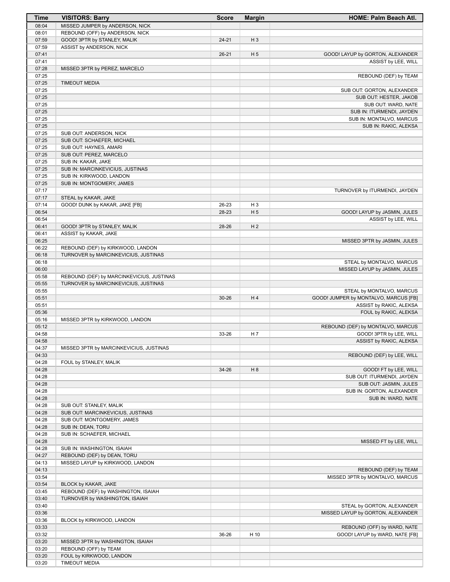| Time           | <b>VISITORS: Barry</b>                    | <b>Score</b> | <b>Margin</b>  | <b>HOME: Palm Beach Atl.</b>                                     |
|----------------|-------------------------------------------|--------------|----------------|------------------------------------------------------------------|
| 08:04          | MISSED JUMPER by ANDERSON, NICK           |              |                |                                                                  |
| 08:01          | REBOUND (OFF) by ANDERSON, NICK           |              |                |                                                                  |
| 07:59          | GOOD! 3PTR by STANLEY, MALIK              | $24 - 21$    | H <sub>3</sub> |                                                                  |
| 07:59          | ASSIST by ANDERSON, NICK                  |              |                |                                                                  |
| 07:41          |                                           | $26 - 21$    | H <sub>5</sub> | GOOD! LAYUP by GORTON, ALEXANDER                                 |
| 07:41          |                                           |              |                | ASSIST by LEE, WILL                                              |
| 07:28          | MISSED 3PTR by PEREZ, MARCELO             |              |                |                                                                  |
| 07:25          |                                           |              |                | REBOUND (DEF) by TEAM                                            |
| 07:25          | <b>TIMEOUT MEDIA</b>                      |              |                |                                                                  |
| 07:25          |                                           |              |                | SUB OUT: GORTON, ALEXANDER                                       |
| 07:25          |                                           |              |                | SUB OUT: HESTER, JAKOB                                           |
| 07:25          |                                           |              |                | SUB OUT: WARD, NATE                                              |
| 07:25<br>07:25 |                                           |              |                | SUB IN: ITURMENDI, JAYDEN                                        |
| 07:25          |                                           |              |                | SUB IN: MONTALVO, MARCUS<br>SUB IN: RAKIC, ALEKSA                |
| 07:25          | SUB OUT: ANDERSON, NICK                   |              |                |                                                                  |
| 07:25          | SUB OUT: SCHAEFER, MICHAEL                |              |                |                                                                  |
| 07:25          | SUB OUT: HAYNES, AMARI                    |              |                |                                                                  |
| 07:25          | SUB OUT: PEREZ, MARCELO                   |              |                |                                                                  |
| 07:25          | SUB IN: KAKAR, JAKE                       |              |                |                                                                  |
| 07:25          | SUB IN: MARCINKEVICIUS, JUSTINAS          |              |                |                                                                  |
| 07:25          | SUB IN: KIRKWOOD, LANDON                  |              |                |                                                                  |
| 07:25          | SUB IN: MONTGOMERY, JAMES                 |              |                |                                                                  |
| 07:17          |                                           |              |                | TURNOVER by ITURMENDI, JAYDEN                                    |
| 07:17          | STEAL by KAKAR, JAKE                      |              |                |                                                                  |
| 07:14          | GOOD! DUNK by KAKAR, JAKE [FB]            | 26-23        | H <sub>3</sub> |                                                                  |
| 06:54          |                                           | 28-23        | H <sub>5</sub> | GOOD! LAYUP by JASMIN, JULES                                     |
| 06:54          |                                           |              |                | ASSIST by LEE, WILL                                              |
| 06:41          | GOOD! 3PTR by STANLEY, MALIK              | 28-26        | H <sub>2</sub> |                                                                  |
| 06:41          | ASSIST by KAKAR, JAKE                     |              |                |                                                                  |
| 06:25          |                                           |              |                | MISSED 3PTR by JASMIN, JULES                                     |
| 06:22          | REBOUND (DEF) by KIRKWOOD, LANDON         |              |                |                                                                  |
| 06:18          | TURNOVER by MARCINKEVICIUS, JUSTINAS      |              |                |                                                                  |
| 06:18          |                                           |              |                | STEAL by MONTALVO, MARCUS                                        |
| 06:00          |                                           |              |                | MISSED LAYUP by JASMIN, JULES                                    |
| 05:58          | REBOUND (DEF) by MARCINKEVICIUS, JUSTINAS |              |                |                                                                  |
| 05:55          | TURNOVER by MARCINKEVICIUS, JUSTINAS      |              |                |                                                                  |
| 05:55          |                                           |              | H4             | STEAL by MONTALVO, MARCUS                                        |
| 05:51<br>05:51 |                                           | $30 - 26$    |                | GOOD! JUMPER by MONTALVO, MARCUS [FB]<br>ASSIST by RAKIC, ALEKSA |
| 05:36          |                                           |              |                | FOUL by RAKIC, ALEKSA                                            |
| 05:16          | MISSED 3PTR by KIRKWOOD, LANDON           |              |                |                                                                  |
| 05:12          |                                           |              |                | REBOUND (DEF) by MONTALVO, MARCUS                                |
| 04:58          |                                           | 33-26        | H 7            | GOOD! 3PTR by LEE, WILL                                          |
| 04:58          |                                           |              |                | ASSIST by RAKIC, ALEKSA                                          |
| 04:37          | MISSED 3PTR by MARCINKEVICIUS, JUSTINAS   |              |                |                                                                  |
| 04:33          |                                           |              |                | REBOUND (DEF) by LEE, WILL                                       |
| 04:28          | FOUL by STANLEY, MALIK                    |              |                |                                                                  |
| 04:28          |                                           | 34-26        | H 8            | GOOD! FT by LEE, WILL                                            |
| 04:28          |                                           |              |                | SUB OUT: ITURMENDI, JAYDEN                                       |
| 04:28          |                                           |              |                | SUB OUT: JASMIN, JULES                                           |
| 04:28          |                                           |              |                | SUB IN: GORTON, ALEXANDER                                        |
| 04:28          |                                           |              |                | SUB IN: WARD, NATE                                               |
| 04:28          | SUB OUT: STANLEY, MALIK                   |              |                |                                                                  |
| 04:28          | SUB OUT: MARCINKEVICIUS, JUSTINAS         |              |                |                                                                  |
| 04:28          | SUB OUT: MONTGOMERY, JAMES                |              |                |                                                                  |
| 04:28          | SUB IN: DEAN, TORU                        |              |                |                                                                  |
| 04:28<br>04:28 | SUB IN: SCHAEFER, MICHAEL                 |              |                | MISSED FT by LEE, WILL                                           |
| 04:28          | SUB IN: WASHINGTON, ISAIAH                |              |                |                                                                  |
| 04:27          | REBOUND (DEF) by DEAN, TORU               |              |                |                                                                  |
| 04:13          | MISSED LAYUP by KIRKWOOD, LANDON          |              |                |                                                                  |
| 04:13          |                                           |              |                | REBOUND (DEF) by TEAM                                            |
| 03:54          |                                           |              |                | MISSED 3PTR by MONTALVO, MARCUS                                  |
| 03:54          | BLOCK by KAKAR, JAKE                      |              |                |                                                                  |
| 03:45          | REBOUND (DEF) by WASHINGTON, ISAIAH       |              |                |                                                                  |
| 03:40          | TURNOVER by WASHINGTON, ISAIAH            |              |                |                                                                  |
| 03:40          |                                           |              |                | STEAL by GORTON, ALEXANDER                                       |
| 03:36          |                                           |              |                | MISSED LAYUP by GORTON, ALEXANDER                                |
| 03:36          | BLOCK by KIRKWOOD, LANDON                 |              |                |                                                                  |
| 03:33          |                                           |              |                | REBOUND (OFF) by WARD, NATE                                      |
| 03:32          |                                           | 36-26        | H 10           | GOOD! LAYUP by WARD, NATE [FB]                                   |
| 03:20          | MISSED 3PTR by WASHINGTON, ISAIAH         |              |                |                                                                  |
| 03:20          | REBOUND (OFF) by TEAM                     |              |                |                                                                  |
| 03:20          | FOUL by KIRKWOOD, LANDON                  |              |                |                                                                  |
| 03:20          | <b>TIMEOUT MEDIA</b>                      |              |                |                                                                  |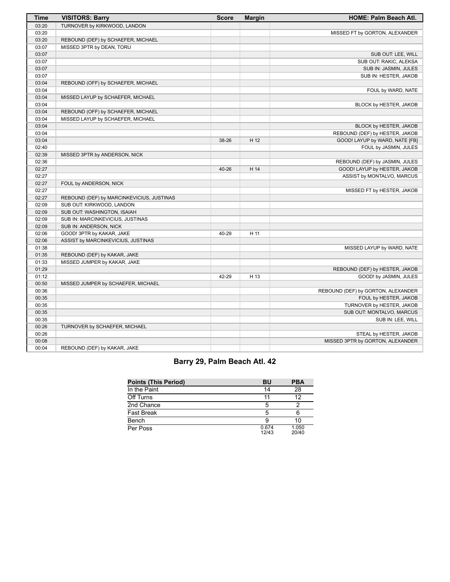| <b>Time</b> | <b>VISITORS: Barry</b>                    | <b>Score</b> | <b>Margin</b> | <b>HOME: Palm Beach Atl.</b>       |
|-------------|-------------------------------------------|--------------|---------------|------------------------------------|
| 03:20       | TURNOVER by KIRKWOOD, LANDON              |              |               |                                    |
| 03:20       |                                           |              |               | MISSED FT by GORTON, ALEXANDER     |
| 03:20       | REBOUND (DEF) by SCHAEFER, MICHAEL        |              |               |                                    |
| 03:07       | MISSED 3PTR by DEAN, TORU                 |              |               |                                    |
| 03:07       |                                           |              |               | SUB OUT: LEE, WILL                 |
| 03:07       |                                           |              |               | SUB OUT: RAKIC, ALEKSA             |
| 03:07       |                                           |              |               | SUB IN: JASMIN, JULES              |
| 03:07       |                                           |              |               | SUB IN: HESTER, JAKOB              |
| 03:04       | REBOUND (OFF) by SCHAEFER, MICHAEL        |              |               |                                    |
| 03:04       |                                           |              |               | FOUL by WARD, NATE                 |
| 03:04       | MISSED LAYUP by SCHAEFER, MICHAEL         |              |               |                                    |
| 03:04       |                                           |              |               | BLOCK by HESTER, JAKOB             |
| 03:04       | REBOUND (OFF) by SCHAEFER, MICHAEL        |              |               |                                    |
| 03:04       | MISSED LAYUP by SCHAEFER, MICHAEL         |              |               |                                    |
| 03:04       |                                           |              |               | BLOCK by HESTER, JAKOB             |
| 03:04       |                                           |              |               | REBOUND (DEF) by HESTER, JAKOB     |
| 03:04       |                                           | 38-26        | H 12          | GOOD! LAYUP by WARD, NATE [FB]     |
| 02:40       |                                           |              |               | FOUL by JASMIN, JULES              |
| 02:39       | MISSED 3PTR by ANDERSON, NICK             |              |               |                                    |
| 02:36       |                                           |              |               | REBOUND (DEF) by JASMIN, JULES     |
| 02:27       |                                           | 40-26        | H 14          | GOOD! LAYUP by HESTER, JAKOB       |
| 02:27       |                                           |              |               | ASSIST by MONTALVO, MARCUS         |
| 02:27       | FOUL by ANDERSON, NICK                    |              |               |                                    |
| 02:27       |                                           |              |               | MISSED FT by HESTER, JAKOB         |
| 02:27       | REBOUND (DEF) by MARCINKEVICIUS, JUSTINAS |              |               |                                    |
| 02:09       | SUB OUT: KIRKWOOD, LANDON                 |              |               |                                    |
| 02:09       | SUB OUT: WASHINGTON, ISAIAH               |              |               |                                    |
| 02:09       | SUB IN: MARCINKEVICIUS, JUSTINAS          |              |               |                                    |
| 02:09       | SUB IN: ANDERSON, NICK                    |              |               |                                    |
| 02:06       | GOOD! 3PTR by KAKAR, JAKE                 | 40-29        | H 11          |                                    |
| 02:06       | ASSIST by MARCINKEVICIUS, JUSTINAS        |              |               |                                    |
| 01:38       |                                           |              |               | MISSED LAYUP by WARD, NATE         |
| 01:35       | REBOUND (DEF) by KAKAR, JAKE              |              |               |                                    |
| 01:33       | MISSED JUMPER by KAKAR, JAKE              |              |               |                                    |
| 01:29       |                                           |              |               | REBOUND (DEF) by HESTER, JAKOB     |
| 01:12       |                                           | 42-29        | H 13          | GOOD! by JASMIN, JULES             |
| 00:50       | MISSED JUMPER by SCHAEFER, MICHAEL        |              |               |                                    |
| 00:36       |                                           |              |               | REBOUND (DEF) by GORTON, ALEXANDER |
| 00:35       |                                           |              |               | FOUL by HESTER, JAKOB              |
| 00:35       |                                           |              |               | TURNOVER by HESTER, JAKOB          |
| 00:35       |                                           |              |               | SUB OUT: MONTALVO, MARCUS          |
| 00:35       |                                           |              |               | SUB IN: LEE, WILL                  |
| 00:26       | TURNOVER by SCHAEFER, MICHAEL             |              |               |                                    |
| 00:26       |                                           |              |               | STEAL by HESTER, JAKOB             |
| 00:08       |                                           |              |               | MISSED 3PTR by GORTON, ALEXANDER   |
| 00:04       | REBOUND (DEF) by KAKAR, JAKE              |              |               |                                    |

# **Barry 29, Palm Beach Atl. 42**

| <b>Points (This Period)</b> | BU             | <b>PBA</b>     |
|-----------------------------|----------------|----------------|
| In the Paint                | 14             | 28             |
| Off Turns                   |                | 12             |
| 2nd Chance                  |                |                |
| Fast Break                  | 5              |                |
| Bench                       |                | 10             |
| Per Poss                    | 0.674<br>12/43 | 1.050<br>20/40 |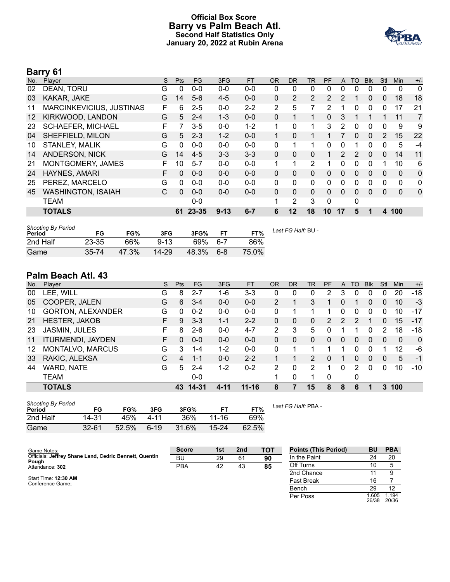### **Official Box Score Barry vs Palm Beach Atl. Second Half Statistics Only January 20, 2022 at Rubin Arena**



# **Barry 61**

| No.               | Plaver                    | S | <b>Pts</b> | <b>FG</b> | 3FG      | <b>FT</b> | <b>OR</b>      | <b>DR</b>    | TR             | <b>PF</b>      | $\mathsf{A}$   | TO       | <b>B</b> lk | Stl            | <b>Min</b>   | $+/-$    |
|-------------------|---------------------------|---|------------|-----------|----------|-----------|----------------|--------------|----------------|----------------|----------------|----------|-------------|----------------|--------------|----------|
| 02                | DEAN, TORU                | G | 0          | $0 - 0$   | $0 - 0$  | $0 - 0$   | 0              | 0            | 0              | 0              | 0              | 0        | 0           | 0              | 0            | 0        |
| 03                | KAKAR, JAKE               | G | 14         | $5-6$     | $4 - 5$  | $0 - 0$   | 0              | 2            | 2              | $\overline{2}$ | 2              |          | 0           | 0              | 18           | 18       |
| 11                | MARCINKEVICIUS, JUSTINAS  | F | 6          | $2 - 5$   | $0 - 0$  | $2 - 2$   | $\overline{2}$ | 5            | 7              | 2              |                | 0        | 0           | 0              | 17           | 21       |
| $12 \overline{ }$ | KIRKWOOD, LANDON          | G | 5          | $2 - 4$   | $1 - 3$  | $0 - 0$   | 0              | 1            | 1              | $\Omega$       | 3              |          |             | 1              | 11           | 7        |
| 23                | <b>SCHAEFER, MICHAEL</b>  | F | 7          | $3-5$     | $0 - 0$  | $1 - 2$   | 1              | $\Omega$     | 1              | 3              | 2              | $\Omega$ | $\Omega$    | 0              | 9            | 9        |
| 04                | SHEFFIELD, MILON          | G | 5          | $2 - 3$   | $1 - 2$  | $0 - 0$   | 1              | 0            | 1              |                |                | $\Omega$ | $\Omega$    | $\overline{2}$ | 15           | 22       |
| 10                | <b>STANLEY, MALIK</b>     | G | 0          | $0 - 0$   | $0 - 0$  | $0-0$     | 0              | 1            | 1              | 0              | 0              | 1        | 0           | 0              | 5            | $-4$     |
| 14                | <b>ANDERSON, NICK</b>     | G | 14         | $4 - 5$   | $3 - 3$  | $3 - 3$   | 0              | $\Omega$     | $\Omega$       | 1              | $\overline{2}$ | 2        | $\Omega$    | $\mathbf{0}$   | 14           | 11       |
| 21                | MONTGOMERY, JAMES         | F | 10         | $5 - 7$   | $0 - 0$  | $0-0$     | $\mathbf 1$    | 1            | $\overline{2}$ | 1              | 0              | 0        | $\Omega$    | 1              | 10           | 6        |
| 24                | HAYNES, AMARI             | F | $\Omega$   | $0 - 0$   | $0 - 0$  | $0 - 0$   | 0              | 0            | $\mathbf{0}$   | $\Omega$       | 0              | $\Omega$ | $\Omega$    | 0              | $\mathbf{0}$ | 0        |
| 25                | PEREZ, MARCELO            | G | 0          | $0 - 0$   | $0 - 0$  | $0-0$     | 0              | $\Omega$     | $\Omega$       | $\Omega$       | 0              | $\Omega$ | 0           | $\Omega$       | $\mathbf{0}$ | 0        |
| 45                | <b>WASHINGTON, ISAIAH</b> | C | 0          | $0 - 0$   | $0 - 0$  | $0 - 0$   | 0              | $\mathbf{0}$ | $\Omega$       | $\Omega$       | 0              | $\Omega$ | 0           | 0              | $\Omega$     | $\Omega$ |
|                   | <b>TEAM</b>               |   |            | $0 - 0$   |          |           |                | 2            | 3              | $\Omega$       |                | 0        |             |                |              |          |
|                   | <b>TOTALS</b>             |   | 61         | $23 - 35$ | $9 - 13$ | $6 - 7$   | 6              | 12           | 18             | 10             | 17             | 5        |             | 4              | 100          |          |

| <b>Shooting By Period</b><br>Period | FG        | FG%   | 3FG      | 3FG%  |         | FT%   | Last FG Half: BU - |
|-------------------------------------|-----------|-------|----------|-------|---------|-------|--------------------|
| 2nd Half                            | $23 - 35$ | 66%   | $9 - 13$ | 69%   | .6-7    | 86%   |                    |
| Game                                | 35-74     | 47.3% | 14-29    | 48.3% | $6 - 8$ | 75.0% |                    |

# **Palm Beach Atl. 43**

| No. | Player                   | S. | <b>Pts</b> | FG        | 3FG      | <b>FT</b> | <b>OR</b> | <b>DR</b> | TR             | PF            | A        | TO | <b>B</b> lk  | Stl      | <b>Min</b> | $+/-$        |
|-----|--------------------------|----|------------|-----------|----------|-----------|-----------|-----------|----------------|---------------|----------|----|--------------|----------|------------|--------------|
| 00  | LEE, WILL                | G  | 8          | $2 - 7$   | 1-6      | $3 - 3$   | 0         | 0         | 0              | 2             | 3        | 0  | 0            | 0        | 20         | $-18$        |
| 05  | COOPER, JALEN            | G  | 6          | $3 - 4$   | $0 - 0$  | $0 - 0$   | 2         |           | 3              |               | 0        | 1  | 0            | $\Omega$ | 10         | -3           |
| 10  | <b>GORTON, ALEXANDER</b> | G  | 0          | $0 - 2$   | $0 - 0$  | $0 - 0$   | 0         |           |                |               | $\Omega$ | 0  | 0            | 0        | 10         | -17          |
| 21  | <b>HESTER, JAKOB</b>     | F  | 9          | $3 - 3$   | $1 - 1$  | $2 - 2$   | 0         | 0         | 0              | $\mathcal{P}$ | 2        | 2  |              | $\Omega$ | 15         | $-17$        |
| 23  | JASMIN, JULES            | F  | 8          | $2-6$     | $0 - 0$  | $4 - 7$   | 2         | 3         | 5              | 0             | 1        |    | 0            | 2        | 18         | $-18$        |
| 11  | <b>ITURMENDI, JAYDEN</b> | F  | 0          | $0 - 0$   | $0 - 0$  | $0 - 0$   | 0         | 0         | $\Omega$       | $\Omega$      | 0        | 0  | $\mathbf{0}$ | $\Omega$ | 0          | $\mathbf{0}$ |
| 12  | MONTALVO, MARCUS         | G  | 3          | 1-4       | $1 - 2$  | $0 - 0$   | 0         | 1         |                |               | 1        | 0  | 0            |          | 12         | -6           |
| 33  | RAKIC, ALEKSA            | С  | 4          | $1 - 1$   | $0 - 0$  | $2 - 2$   |           |           | 2              | 0             | 1        | 0  | $\Omega$     | $\Omega$ | 5          | $-1$         |
| 44  | <b>WARD, NATE</b>        | G  | 5          | $2 - 4$   | $1 - 2$  | $0 - 2$   | 2         | 0         | $\overline{2}$ |               | $\Omega$ | 2  | $\Omega$     | 0        | 10         | $-10$        |
|     | <b>TEAM</b>              |    |            | $0 - 0$   |          |           | 1         | 0         |                | $\Omega$      |          | 0  |              |          |            |              |
|     | <b>TOTALS</b>            |    | 43         | $14 - 31$ | $4 - 11$ | $11 - 16$ | 8         |           | 15             | 8             | 8        | 6  |              | 3        | 100        |              |
|     |                          |    |            |           |          |           |           |           |                |               |          |    |              |          |            |              |

| <b>Shooting By Period</b><br>Period | FG        | FG%   | 3FG    | 3FG%  | F1        | FT%   |
|-------------------------------------|-----------|-------|--------|-------|-----------|-------|
| 2nd Half                            | 14-31     | 45%   | 4-11   | 36%   | 11-16     | 69%   |
| Game                                | $32 - 61$ | 52.5% | $6-19$ | 31.6% | $15 - 24$ | 62.5% |

*Last FG Half:* PBA -

| Game Notes:                                            | <b>Score</b> | 1st | 2 <sub>nd</sub> | тот | <b>Points (This Period)</b> | BU             | <b>PBA</b>     |
|--------------------------------------------------------|--------------|-----|-----------------|-----|-----------------------------|----------------|----------------|
| Officials: Jeffrey Shane Land, Cedric Bennett, Quentin | BU           | 29  | 61              | 90  | In the Paint                |                | 20             |
| Pough<br>Attendance: 302                               | PBA          | 42  | 43              | 85  | Off Turns                   | 10             |                |
|                                                        |              |     |                 |     | 2nd Chance                  |                |                |
| Start Time: 12:30 AM<br>Conference Game:               |              |     |                 |     | <b>Fast Break</b>           | 16             |                |
|                                                        |              |     |                 |     | Bench                       | 29             | 12             |
|                                                        |              |     |                 |     | Per Poss                    | 1.605<br>26/38 | 1.194<br>20/36 |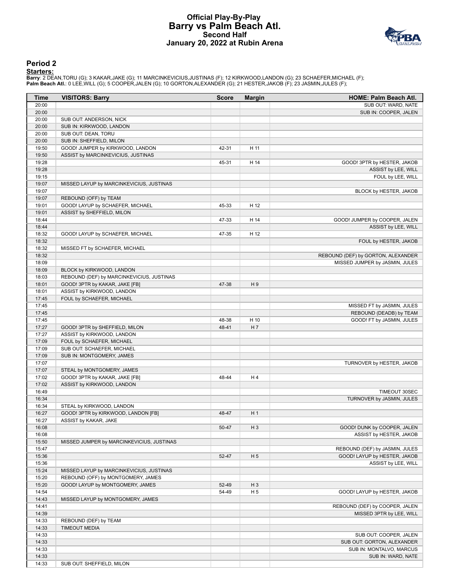### **Official Play-By-Play Barry vs Palm Beach Atl. Second Half January 20, 2022 at Rubin Arena**



#### **Period 2**

<mark>Starters:</mark><br>Barry: 2 DEAN,TORU (G); 3 KAKAR,JAKE (G); 11 MARCINKEVICIUS,JUSTINAS (F); 12 KIRKWOOD,LANDON (G); 23 SCHAEFER,MICHAEL (F);<br>**Palm Beach Atl.**: 0 LEE,WILL (G); 5 COOPER,JALEN (G); 10 GORTON,ALEXANDER (G); 21 HEST

| Time  | <b>VISITORS: Barry</b>                    | <b>Score</b> | <b>Margin</b>  | <b>HOME: Palm Beach Atl.</b>       |
|-------|-------------------------------------------|--------------|----------------|------------------------------------|
| 20:00 |                                           |              |                | SUB OUT: WARD, NATE                |
| 20:00 |                                           |              |                | SUB IN: COOPER, JALEN              |
| 20:00 | SUB OUT: ANDERSON, NICK                   |              |                |                                    |
| 20:00 | SUB IN: KIRKWOOD, LANDON                  |              |                |                                    |
| 20:00 | SUB OUT: DEAN, TORU                       |              |                |                                    |
| 20:00 | SUB IN: SHEFFIELD, MILON                  |              |                |                                    |
| 19:50 | GOOD! JUMPER by KIRKWOOD, LANDON          | 42-31        | H 11           |                                    |
| 19:50 | ASSIST by MARCINKEVICIUS, JUSTINAS        |              |                |                                    |
| 19:28 |                                           | 45-31        | H 14           | GOOD! 3PTR by HESTER, JAKOB        |
| 19:28 |                                           |              |                | ASSIST by LEE, WILL                |
| 19:15 |                                           |              |                | FOUL by LEE, WILL                  |
| 19:07 | MISSED LAYUP by MARCINKEVICIUS, JUSTINAS  |              |                |                                    |
| 19:07 |                                           |              |                | BLOCK by HESTER, JAKOB             |
| 19:07 | REBOUND (OFF) by TEAM                     |              |                |                                    |
| 19:01 | GOOD! LAYUP by SCHAEFER, MICHAEL          | 45-33        | H 12           |                                    |
| 19:01 | ASSIST by SHEFFIELD, MILON                |              |                |                                    |
| 18:44 |                                           | 47-33        | H 14           | GOOD! JUMPER by COOPER, JALEN      |
| 18:44 |                                           |              |                | ASSIST by LEE, WILL                |
| 18:32 | GOOD! LAYUP by SCHAEFER, MICHAEL          | 47-35        | H 12           |                                    |
| 18:32 |                                           |              |                | FOUL by HESTER, JAKOB              |
| 18:32 | MISSED FT by SCHAEFER, MICHAEL            |              |                |                                    |
| 18:32 |                                           |              |                | REBOUND (DEF) by GORTON, ALEXANDER |
| 18:09 |                                           |              |                | MISSED JUMPER by JASMIN, JULES     |
| 18:09 | BLOCK by KIRKWOOD, LANDON                 |              |                |                                    |
| 18:03 | REBOUND (DEF) by MARCINKEVICIUS, JUSTINAS |              |                |                                    |
| 18:01 | GOOD! 3PTR by KAKAR, JAKE [FB]            | 47-38        | H9             |                                    |
| 18:01 | ASSIST by KIRKWOOD, LANDON                |              |                |                                    |
| 17:45 | FOUL by SCHAEFER, MICHAEL                 |              |                |                                    |
| 17:45 |                                           |              |                | MISSED FT by JASMIN, JULES         |
| 17:45 |                                           |              |                | REBOUND (DEADB) by TEAM            |
| 17:45 |                                           | 48-38        | H 10           | GOOD! FT by JASMIN, JULES          |
| 17:27 | GOOD! 3PTR by SHEFFIELD, MILON            | 48-41        | H7             |                                    |
| 17:27 | ASSIST by KIRKWOOD, LANDON                |              |                |                                    |
| 17:09 | FOUL by SCHAEFER, MICHAEL                 |              |                |                                    |
| 17:09 | SUB OUT: SCHAEFER, MICHAEL                |              |                |                                    |
| 17:09 | SUB IN: MONTGOMERY, JAMES                 |              |                |                                    |
| 17:07 |                                           |              |                | TURNOVER by HESTER, JAKOB          |
| 17:07 | STEAL by MONTGOMERY, JAMES                |              |                |                                    |
| 17:02 | GOOD! 3PTR by KAKAR, JAKE [FB]            | 48-44        | H4             |                                    |
| 17:02 | ASSIST by KIRKWOOD, LANDON                |              |                |                                    |
| 16:49 |                                           |              |                | TIMEOUT 30SEC                      |
| 16:34 |                                           |              |                | TURNOVER by JASMIN, JULES          |
| 16:34 | STEAL by KIRKWOOD, LANDON                 |              |                |                                    |
| 16:27 | GOOD! 3PTR by KIRKWOOD, LANDON [FB]       | 48-47        | H <sub>1</sub> |                                    |
| 16:27 | ASSIST by KAKAR, JAKE                     |              |                |                                    |
| 16:08 |                                           | 50-47        | $H_3$          | GOOD! DUNK by COOPER, JALEN        |
| 16:08 |                                           |              |                | ASSIST by HESTER, JAKOB            |
| 15:50 | MISSED JUMPER by MARCINKEVICIUS, JUSTINAS |              |                |                                    |
| 15:47 |                                           |              |                | REBOUND (DEF) by JASMIN, JULES     |
| 15:36 |                                           | 52-47        | H <sub>5</sub> | GOOD! LAYUP by HESTER, JAKOB       |
| 15:36 |                                           |              |                | ASSIST by LEE, WILL                |
| 15:24 | MISSED LAYUP by MARCINKEVICIUS, JUSTINAS  |              |                |                                    |
| 15:20 | REBOUND (OFF) by MONTGOMERY, JAMES        |              |                |                                    |
| 15:20 | GOOD! LAYUP by MONTGOMERY, JAMES          | 52-49        | $H_3$          |                                    |
| 14:54 |                                           | 54-49        | H <sub>5</sub> | GOOD! LAYUP by HESTER, JAKOB       |
| 14:43 | MISSED LAYUP by MONTGOMERY, JAMES         |              |                |                                    |
| 14:41 |                                           |              |                | REBOUND (DEF) by COOPER, JALEN     |
| 14:39 |                                           |              |                | MISSED 3PTR by LEE, WILL           |
| 14:33 | REBOUND (DEF) by TEAM                     |              |                |                                    |
| 14:33 | <b>TIMEOUT MEDIA</b>                      |              |                |                                    |
| 14:33 |                                           |              |                | SUB OUT: COOPER, JALEN             |
| 14:33 |                                           |              |                | SUB OUT: GORTON, ALEXANDER         |
| 14:33 |                                           |              |                | SUB IN: MONTALVO, MARCUS           |
| 14:33 |                                           |              |                | SUB IN: WARD, NATE                 |
| 14:33 | SUB OUT: SHEFFIELD, MILON                 |              |                |                                    |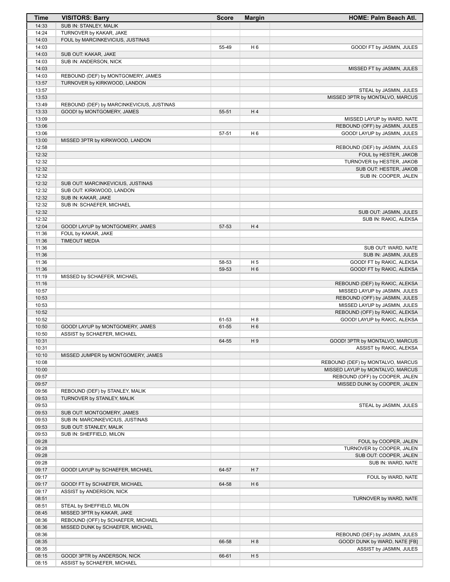| Time           | <b>VISITORS: Barry</b>                                           | <b>Score</b> | <b>Margin</b>  | <b>HOME: Palm Beach Atl.</b>                                          |
|----------------|------------------------------------------------------------------|--------------|----------------|-----------------------------------------------------------------------|
| 14:33          | SUB IN: STANLEY, MALIK                                           |              |                |                                                                       |
| 14:24          | TURNOVER by KAKAR, JAKE                                          |              |                |                                                                       |
| 14:03          | FOUL by MARCINKEVICIUS, JUSTINAS                                 |              |                |                                                                       |
| 14:03          |                                                                  | 55-49        | H <sub>6</sub> | GOOD! FT by JASMIN, JULES                                             |
| 14:03          | SUB OUT: KAKAR, JAKE                                             |              |                |                                                                       |
| 14:03          | SUB IN: ANDERSON, NICK                                           |              |                |                                                                       |
| 14:03          |                                                                  |              |                | MISSED FT by JASMIN, JULES                                            |
| 14:03          | REBOUND (DEF) by MONTGOMERY, JAMES                               |              |                |                                                                       |
| 13:57<br>13:57 | TURNOVER by KIRKWOOD, LANDON                                     |              |                |                                                                       |
| 13:53          |                                                                  |              |                | STEAL by JASMIN, JULES<br>MISSED 3PTR by MONTALVO, MARCUS             |
| 13:49          | REBOUND (DEF) by MARCINKEVICIUS, JUSTINAS                        |              |                |                                                                       |
| 13:33          | GOOD! by MONTGOMERY, JAMES                                       | 55-51        | H 4            |                                                                       |
| 13:09          |                                                                  |              |                | MISSED LAYUP by WARD, NATE                                            |
| 13:06          |                                                                  |              |                | REBOUND (OFF) by JASMIN, JULES                                        |
| 13:06          |                                                                  | 57-51        | H <sub>6</sub> | GOOD! LAYUP by JASMIN, JULES                                          |
| 13:00          | MISSED 3PTR by KIRKWOOD, LANDON                                  |              |                |                                                                       |
| 12:58          |                                                                  |              |                | REBOUND (DEF) by JASMIN, JULES                                        |
| 12:32          |                                                                  |              |                | FOUL by HESTER, JAKOB                                                 |
| 12:32          |                                                                  |              |                | TURNOVER by HESTER, JAKOB                                             |
| 12:32          |                                                                  |              |                | SUB OUT: HESTER, JAKOB                                                |
| 12:32          |                                                                  |              |                | SUB IN: COOPER, JALEN                                                 |
| 12:32          | SUB OUT: MARCINKEVICIUS, JUSTINAS                                |              |                |                                                                       |
| 12:32          | SUB OUT: KIRKWOOD, LANDON                                        |              |                |                                                                       |
| 12:32          | SUB IN: KAKAR, JAKE                                              |              |                |                                                                       |
| 12:32          | SUB IN: SCHAEFER, MICHAEL                                        |              |                |                                                                       |
| 12:32          |                                                                  |              |                | SUB OUT: JASMIN, JULES                                                |
| 12:32          |                                                                  | 57-53        | H4             | SUB IN: RAKIC, ALEKSA                                                 |
| 12:04<br>11:36 | GOOD! LAYUP by MONTGOMERY, JAMES<br>FOUL by KAKAR, JAKE          |              |                |                                                                       |
| 11:36          | <b>TIMEOUT MEDIA</b>                                             |              |                |                                                                       |
| 11:36          |                                                                  |              |                | SUB OUT: WARD, NATE                                                   |
| 11:36          |                                                                  |              |                | SUB IN: JASMIN, JULES                                                 |
| 11:36          |                                                                  | 58-53        | H <sub>5</sub> | GOOD! FT by RAKIC, ALEKSA                                             |
| 11:36          |                                                                  | 59-53        | H <sub>6</sub> | GOOD! FT by RAKIC, ALEKSA                                             |
| 11:19          | MISSED by SCHAEFER, MICHAEL                                      |              |                |                                                                       |
| 11:16          |                                                                  |              |                | REBOUND (DEF) by RAKIC, ALEKSA                                        |
| 10:57          |                                                                  |              |                | MISSED LAYUP by JASMIN, JULES                                         |
| 10:53          |                                                                  |              |                | REBOUND (OFF) by JASMIN, JULES                                        |
| 10:53          |                                                                  |              |                | MISSED LAYUP by JASMIN, JULES                                         |
| 10:52          |                                                                  |              |                | REBOUND (OFF) by RAKIC, ALEKSA                                        |
| 10:52          |                                                                  | 61-53        | H 8            | GOOD! LAYUP by RAKIC, ALEKSA                                          |
| 10:50          | GOOD! LAYUP by MONTGOMERY, JAMES                                 | 61-55        | H <sub>6</sub> |                                                                       |
| 10:50          | ASSIST by SCHAEFER, MICHAEL                                      |              |                |                                                                       |
| 10:31          |                                                                  | 64-55        | H9             | GOOD! 3PTR by MONTALVO, MARCUS                                        |
| 10:31          |                                                                  |              |                | ASSIST by RAKIC, ALEKSA                                               |
| 10:10          | MISSED JUMPER by MONTGOMERY, JAMES                               |              |                |                                                                       |
| 10:08<br>10:00 |                                                                  |              |                | REBOUND (DEF) by MONTALVO, MARCUS<br>MISSED LAYUP by MONTALVO, MARCUS |
| 09:57          |                                                                  |              |                | REBOUND (OFF) by COOPER, JALEN                                        |
| 09:57          |                                                                  |              |                | MISSED DUNK by COOPER, JALEN                                          |
| 09:56          | REBOUND (DEF) by STANLEY, MALIK                                  |              |                |                                                                       |
| 09:53          | TURNOVER by STANLEY, MALIK                                       |              |                |                                                                       |
| 09:53          |                                                                  |              |                | STEAL by JASMIN, JULES                                                |
| 09:53          | SUB OUT: MONTGOMERY, JAMES                                       |              |                |                                                                       |
| 09:53          | SUB IN: MARCINKEVICIUS, JUSTINAS                                 |              |                |                                                                       |
| 09:53          | SUB OUT: STANLEY, MALIK                                          |              |                |                                                                       |
| 09:53          | SUB IN: SHEFFIELD, MILON                                         |              |                |                                                                       |
| 09:28          |                                                                  |              |                | FOUL by COOPER, JALEN                                                 |
| 09:28          |                                                                  |              |                | TURNOVER by COOPER, JALEN                                             |
| 09:28          |                                                                  |              |                | SUB OUT: COOPER, JALEN                                                |
| 09:28          |                                                                  |              |                | SUB IN: WARD, NATE                                                    |
| 09:17          | GOOD! LAYUP by SCHAEFER, MICHAEL                                 | 64-57        | H 7            |                                                                       |
| 09:17          |                                                                  |              |                | FOUL by WARD, NATE                                                    |
| 09:17          | GOOD! FT by SCHAEFER, MICHAEL                                    | 64-58        | H <sub>6</sub> |                                                                       |
| 09:17          | ASSIST by ANDERSON, NICK                                         |              |                |                                                                       |
| 08:51          |                                                                  |              |                | TURNOVER by WARD, NATE                                                |
| 08:51          | STEAL by SHEFFIELD, MILON                                        |              |                |                                                                       |
| 08:45<br>08:36 | MISSED 3PTR by KAKAR, JAKE<br>REBOUND (OFF) by SCHAEFER, MICHAEL |              |                |                                                                       |
| 08:36          | MISSED DUNK by SCHAEFER, MICHAEL                                 |              |                |                                                                       |
| 08:36          |                                                                  |              |                | REBOUND (DEF) by JASMIN, JULES                                        |
| 08:35          |                                                                  | 66-58        | H 8            | GOOD! DUNK by WARD, NATE [FB]                                         |
| 08:35          |                                                                  |              |                | ASSIST by JASMIN, JULES                                               |
| 08:15          | GOOD! 3PTR by ANDERSON, NICK                                     | 66-61        | H <sub>5</sub> |                                                                       |
| 08:15          | ASSIST by SCHAEFER, MICHAEL                                      |              |                |                                                                       |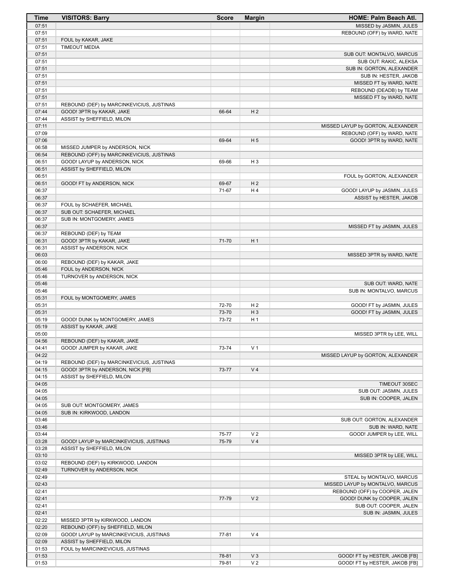| <b>Time</b>    | <b>VISITORS: Barry</b>                                          | <b>Score</b>   | <b>Margin</b>                    | HOME: Palm Beach Atl.                                            |
|----------------|-----------------------------------------------------------------|----------------|----------------------------------|------------------------------------------------------------------|
| 07:51          |                                                                 |                |                                  | MISSED by JASMIN, JULES                                          |
| 07:51          |                                                                 |                |                                  | REBOUND (OFF) by WARD, NATE                                      |
| 07:51          | FOUL by KAKAR, JAKE                                             |                |                                  |                                                                  |
| 07:51          | <b>TIMEOUT MEDIA</b>                                            |                |                                  |                                                                  |
| 07:51<br>07:51 |                                                                 |                |                                  | SUB OUT: MONTALVO, MARCUS<br>SUB OUT: RAKIC, ALEKSA              |
| 07:51          |                                                                 |                |                                  | SUB IN: GORTON, ALEXANDER                                        |
| 07:51          |                                                                 |                |                                  | SUB IN: HESTER, JAKOB                                            |
| 07:51          |                                                                 |                |                                  | MISSED FT by WARD, NATE                                          |
| 07:51          |                                                                 |                |                                  | REBOUND (DEADB) by TEAM                                          |
| 07:51          |                                                                 |                |                                  | MISSED FT by WARD, NATE                                          |
| 07:51          | REBOUND (DEF) by MARCINKEVICIUS, JUSTINAS                       |                |                                  |                                                                  |
| 07:44          | GOOD! 3PTR by KAKAR, JAKE                                       | 66-64          | H <sub>2</sub>                   |                                                                  |
| 07:44<br>07:11 | ASSIST by SHEFFIELD, MILON                                      |                |                                  |                                                                  |
| 07:09          |                                                                 |                |                                  | MISSED LAYUP by GORTON, ALEXANDER<br>REBOUND (OFF) by WARD, NATE |
| 07:06          |                                                                 | 69-64          | H <sub>5</sub>                   | GOOD! 3PTR by WARD, NATE                                         |
| 06:58          | MISSED JUMPER by ANDERSON, NICK                                 |                |                                  |                                                                  |
| 06:54          | REBOUND (OFF) by MARCINKEVICIUS, JUSTINAS                       |                |                                  |                                                                  |
| 06:51          | GOOD! LAYUP by ANDERSON, NICK                                   | 69-66          | H <sub>3</sub>                   |                                                                  |
| 06:51          | ASSIST by SHEFFIELD, MILON                                      |                |                                  |                                                                  |
| 06:51          |                                                                 |                |                                  | FOUL by GORTON, ALEXANDER                                        |
| 06:51<br>06:37 | GOOD! FT by ANDERSON, NICK                                      | 69-67<br>71-67 | H <sub>2</sub><br>H4             | GOOD! LAYUP by JASMIN, JULES                                     |
| 06:37          |                                                                 |                |                                  | ASSIST by HESTER, JAKOB                                          |
| 06:37          | FOUL by SCHAEFER, MICHAEL                                       |                |                                  |                                                                  |
| 06:37          | SUB OUT: SCHAEFER, MICHAEL                                      |                |                                  |                                                                  |
| 06:37          | SUB IN: MONTGOMERY, JAMES                                       |                |                                  |                                                                  |
| 06:37          |                                                                 |                |                                  | MISSED FT by JASMIN, JULES                                       |
| 06:37          | REBOUND (DEF) by TEAM                                           |                |                                  |                                                                  |
| 06:31          | GOOD! 3PTR by KAKAR, JAKE                                       | 71-70          | H <sub>1</sub>                   |                                                                  |
| 06:31          | ASSIST by ANDERSON, NICK                                        |                |                                  |                                                                  |
| 06:03<br>06:00 | REBOUND (DEF) by KAKAR, JAKE                                    |                |                                  | MISSED 3PTR by WARD, NATE                                        |
| 05:46          | FOUL by ANDERSON, NICK                                          |                |                                  |                                                                  |
| 05:46          | TURNOVER by ANDERSON, NICK                                      |                |                                  |                                                                  |
| 05:46          |                                                                 |                |                                  | SUB OUT: WARD, NATE                                              |
| 05:46          |                                                                 |                |                                  | SUB IN: MONTALVO, MARCUS                                         |
| 05:31          | FOUL by MONTGOMERY, JAMES                                       |                |                                  |                                                                  |
| 05:31<br>05:31 |                                                                 | 72-70<br>73-70 | H <sub>2</sub><br>$H_3$          | GOOD! FT by JASMIN, JULES<br>GOOD! FT by JASMIN, JULES           |
| 05:19          | GOOD! DUNK by MONTGOMERY, JAMES                                 | 73-72          | H 1                              |                                                                  |
| 05:19          | ASSIST by KAKAR, JAKE                                           |                |                                  |                                                                  |
| 05:00          |                                                                 |                |                                  | MISSED 3PTR by LEE, WILL                                         |
| 04:56          | REBOUND (DEF) by KAKAR, JAKE                                    |                |                                  |                                                                  |
| 04:41          | GOOD! JUMPER by KAKAR, JAKE                                     | 73-74          | V <sub>1</sub>                   |                                                                  |
| 04:22          |                                                                 |                |                                  | MISSED LAYUP by GORTON, ALEXANDER                                |
| 04:19          | REBOUND (DEF) by MARCINKEVICIUS, JUSTINAS                       |                |                                  |                                                                  |
| 04:15<br>04:15 | GOOD! 3PTR by ANDERSON, NICK [FB]<br>ASSIST by SHEFFIELD, MILON | 73-77          | V <sub>4</sub>                   |                                                                  |
| 04:05          |                                                                 |                |                                  | TIMEOUT 30SEC                                                    |
| 04:05          |                                                                 |                |                                  | SUB OUT: JASMIN, JULES                                           |
| 04:05          |                                                                 |                |                                  | SUB IN: COOPER, JALEN                                            |
| 04:05          | SUB OUT: MONTGOMERY, JAMES                                      |                |                                  |                                                                  |
| 04:05          | SUB IN: KIRKWOOD, LANDON                                        |                |                                  |                                                                  |
| 03:46          |                                                                 |                |                                  | SUB OUT: GORTON, ALEXANDER                                       |
| 03:46          |                                                                 |                |                                  | SUB IN: WARD, NATE                                               |
| 03:44<br>03:28 | GOOD! LAYUP by MARCINKEVICIUS, JUSTINAS                         | 75-77<br>75-79 | V <sub>2</sub><br>V <sub>4</sub> | GOOD! JUMPER by LEE, WILL                                        |
| 03:28          | ASSIST by SHEFFIELD, MILON                                      |                |                                  |                                                                  |
| 03:10          |                                                                 |                |                                  | MISSED 3PTR by LEE, WILL                                         |
| 03:02          | REBOUND (DEF) by KIRKWOOD, LANDON                               |                |                                  |                                                                  |
| 02:49          | TURNOVER by ANDERSON, NICK                                      |                |                                  |                                                                  |
| 02:49          |                                                                 |                |                                  | STEAL by MONTALVO, MARCUS                                        |
| 02:43          |                                                                 |                |                                  | MISSED LAYUP by MONTALVO, MARCUS                                 |
| 02:41          |                                                                 |                | V <sub>2</sub>                   | REBOUND (OFF) by COOPER, JALEN                                   |
| 02:41<br>02:41 |                                                                 | 77-79          |                                  | GOOD! DUNK by COOPER, JALEN<br>SUB OUT: COOPER, JALEN            |
| 02:41          |                                                                 |                |                                  | SUB IN: JASMIN, JULES                                            |
| 02:22          | MISSED 3PTR by KIRKWOOD, LANDON                                 |                |                                  |                                                                  |
| 02:20          | REBOUND (OFF) by SHEFFIELD, MILON                               |                |                                  |                                                                  |
| 02:09          | GOOD! LAYUP by MARCINKEVICIUS, JUSTINAS                         | 77-81          | V <sub>4</sub>                   |                                                                  |
| 02:09          | ASSIST by SHEFFIELD, MILON                                      |                |                                  |                                                                  |
| 01:53          | FOUL by MARCINKEVICIUS, JUSTINAS                                |                |                                  |                                                                  |
| 01:53          |                                                                 | 78-81          | $V_3$<br>V <sub>2</sub>          | GOOD! FT by HESTER, JAKOB [FB]                                   |
| 01:53          |                                                                 | 79-81          |                                  | GOOD! FT by HESTER, JAKOB [FB]                                   |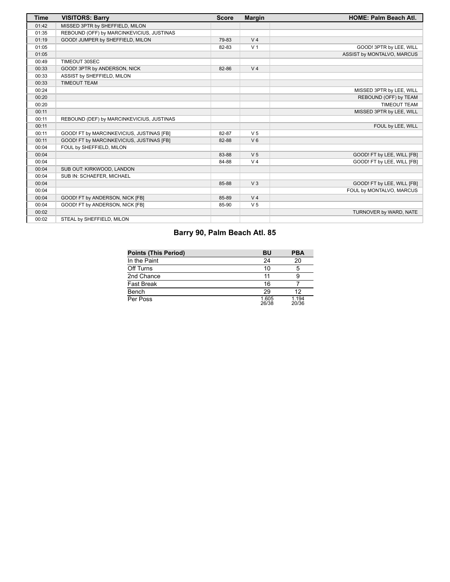| <b>Time</b> | <b>VISITORS: Barry</b>                    | <b>Score</b> | <b>Margin</b>  | <b>HOME: Palm Beach Atl.</b> |
|-------------|-------------------------------------------|--------------|----------------|------------------------------|
| 01:42       | MISSED 3PTR by SHEFFIELD, MILON           |              |                |                              |
| 01:35       | REBOUND (OFF) by MARCINKEVICIUS, JUSTINAS |              |                |                              |
| 01:19       | GOOD! JUMPER by SHEFFIELD, MILON          | 79-83        | V <sub>4</sub> |                              |
| 01:05       |                                           | 82-83        | V <sub>1</sub> | GOOD! 3PTR by LEE, WILL      |
| 01:05       |                                           |              |                | ASSIST by MONTALVO, MARCUS   |
| 00:49       | TIMEOUT 30SEC                             |              |                |                              |
| 00:33       | GOOD! 3PTR by ANDERSON, NICK              | 82-86        | V <sub>4</sub> |                              |
| 00:33       | ASSIST by SHEFFIELD, MILON                |              |                |                              |
| 00:33       | <b>TIMEOUT TEAM</b>                       |              |                |                              |
| 00:24       |                                           |              |                | MISSED 3PTR by LEE, WILL     |
| 00:20       |                                           |              |                | REBOUND (OFF) by TEAM        |
| 00:20       |                                           |              |                | <b>TIMEOUT TEAM</b>          |
| 00:11       |                                           |              |                | MISSED 3PTR by LEE, WILL     |
| 00:11       | REBOUND (DEF) by MARCINKEVICIUS, JUSTINAS |              |                |                              |
| 00:11       |                                           |              |                | FOUL by LEE, WILL            |
| 00:11       | GOOD! FT by MARCINKEVICIUS, JUSTINAS [FB] | 82-87        | V <sub>5</sub> |                              |
| 00:11       | GOOD! FT by MARCINKEVICIUS, JUSTINAS [FB] | 82-88        | $V_6$          |                              |
| 00:04       | FOUL by SHEFFIELD, MILON                  |              |                |                              |
| 00:04       |                                           | 83-88        | V <sub>5</sub> | GOOD! FT by LEE, WILL [FB]   |
| 00:04       |                                           | 84-88        | V <sub>4</sub> | GOOD! FT by LEE, WILL [FB]   |
| 00:04       | SUB OUT: KIRKWOOD, LANDON                 |              |                |                              |
| 00:04       | SUB IN: SCHAEFER, MICHAEL                 |              |                |                              |
| 00:04       |                                           | 85-88        | V <sub>3</sub> | GOOD! FT by LEE, WILL [FB]   |
| 00:04       |                                           |              |                | FOUL by MONTALVO, MARCUS     |
| 00:04       | GOOD! FT by ANDERSON, NICK [FB]           | 85-89        | V <sub>4</sub> |                              |
| 00:04       | GOOD! FT by ANDERSON, NICK [FB]           | 85-90        | V <sub>5</sub> |                              |
| 00:02       |                                           |              |                | TURNOVER by WARD, NATE       |
| 00:02       | STEAL by SHEFFIELD, MILON                 |              |                |                              |

# **Barry 90, Palm Beach Atl. 85**

| Points (This Period) | ΒU             | <b>PBA</b>     |
|----------------------|----------------|----------------|
| In the Paint         | 24             | 20             |
| Off Turns            | 10             | 5              |
| 2nd Chance           | 11             |                |
| Fast Break           | 16             |                |
| Bench                | 29             | 12             |
| Per Poss             | 1.605<br>26/38 | 1.194<br>20/36 |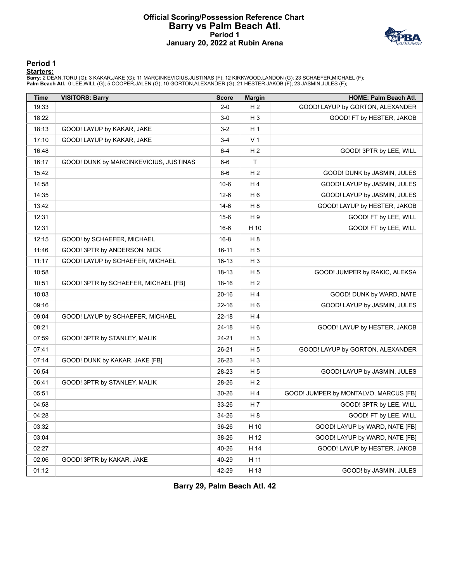### **Official Scoring/Possession Reference Chart Barry vs Palm Beach Atl. Period 1 January 20, 2022 at Rubin Arena**



#### **Period 1**

<mark>Starters:</mark><br>Barry: 2 DEAN,TORU (G); 3 KAKAR,JAKE (G); 11 MARCINKEVICIUS,JUSTINAS (F); 12 KIRKWOOD,LANDON (G); 23 SCHAEFER,MICHAEL (F);<br>**Palm Beach Atl.**: 0 LEE,WILL (G); 5 COOPER,JALEN (G); 10 GORTON,ALEXANDER (G); 21 HEST

| <b>Time</b> | <b>VISITORS: Barry</b>                 | <b>Score</b> | <b>Margin</b>  | HOME: Palm Beach Atl.                 |
|-------------|----------------------------------------|--------------|----------------|---------------------------------------|
| 19:33       |                                        | $2-0$        | H <sub>2</sub> | GOOD! LAYUP by GORTON, ALEXANDER      |
| 18:22       |                                        | $3-0$        | H <sub>3</sub> | GOOD! FT by HESTER, JAKOB             |
| 18:13       | GOOD! LAYUP by KAKAR, JAKE             | $3-2$        | H <sub>1</sub> |                                       |
| 17:10       | GOOD! LAYUP by KAKAR, JAKE             | $3-4$        | V <sub>1</sub> |                                       |
| 16:48       |                                        | $6 - 4$      | H <sub>2</sub> | GOOD! 3PTR by LEE, WILL               |
| 16:17       | GOOD! DUNK by MARCINKEVICIUS, JUSTINAS | 6-6          | T              |                                       |
| 15:42       |                                        | 8-6          | H <sub>2</sub> | GOOD! DUNK by JASMIN, JULES           |
| 14:58       |                                        | $10-6$       | H4             | GOOD! LAYUP by JASMIN, JULES          |
| 14:35       |                                        | $12-6$       | H <sub>6</sub> | GOOD! LAYUP by JASMIN, JULES          |
| 13:42       |                                        | 14-6         | H 8            | GOOD! LAYUP by HESTER, JAKOB          |
| 12:31       |                                        | $15-6$       | H 9            | GOOD! FT by LEE, WILL                 |
| 12:31       |                                        | $16-6$       | H 10           | GOOD! FT by LEE, WILL                 |
| 12:15       | GOOD! by SCHAEFER, MICHAEL             | $16 - 8$     | H 8            |                                       |
| 11:46       | GOOD! 3PTR by ANDERSON, NICK           | 16-11        | H 5            |                                       |
| 11:17       | GOOD! LAYUP by SCHAEFER, MICHAEL       | 16-13        | $H_3$          |                                       |
| 10:58       |                                        | 18-13        | H <sub>5</sub> | GOOD! JUMPER by RAKIC, ALEKSA         |
| 10:51       | GOOD! 3PTR by SCHAEFER, MICHAEL [FB]   | $18 - 16$    | H <sub>2</sub> |                                       |
| 10:03       |                                        | 20-16        | H 4            | GOOD! DUNK by WARD, NATE              |
| 09:16       |                                        | 22-16        | H <sub>6</sub> | GOOD! LAYUP by JASMIN, JULES          |
| 09:04       | GOOD! LAYUP by SCHAEFER, MICHAEL       | $22 - 18$    | H4             |                                       |
| 08:21       |                                        | 24-18        | H <sub>6</sub> | GOOD! LAYUP by HESTER, JAKOB          |
| 07:59       | GOOD! 3PTR by STANLEY, MALIK           | 24-21        | H <sub>3</sub> |                                       |
| 07:41       |                                        | 26-21        | H <sub>5</sub> | GOOD! LAYUP by GORTON, ALEXANDER      |
| 07:14       | GOOD! DUNK by KAKAR, JAKE [FB]         | 26-23        | $H_3$          |                                       |
| 06:54       |                                        | 28-23        | H <sub>5</sub> | GOOD! LAYUP by JASMIN, JULES          |
| 06:41       | GOOD! 3PTR by STANLEY, MALIK           | 28-26        | H <sub>2</sub> |                                       |
| 05:51       |                                        | $30 - 26$    | H4             | GOOD! JUMPER by MONTALVO, MARCUS [FB] |
| 04:58       |                                        | 33-26        | H 7            | GOOD! 3PTR by LEE, WILL               |
| 04:28       |                                        | 34-26        | H 8            | GOOD! FT by LEE, WILL                 |
| 03:32       |                                        | 36-26        | H 10           | GOOD! LAYUP by WARD, NATE [FB]        |
| 03:04       |                                        | 38-26        | H 12           | GOOD! LAYUP by WARD, NATE [FB]        |
| 02:27       |                                        | 40-26        | H 14           | GOOD! LAYUP by HESTER, JAKOB          |
| 02:06       | GOOD! 3PTR by KAKAR, JAKE              | 40-29        | H 11           |                                       |
| 01:12       |                                        | 42-29        | H 13           | GOOD! by JASMIN, JULES                |

**Barry 29, Palm Beach Atl. 42**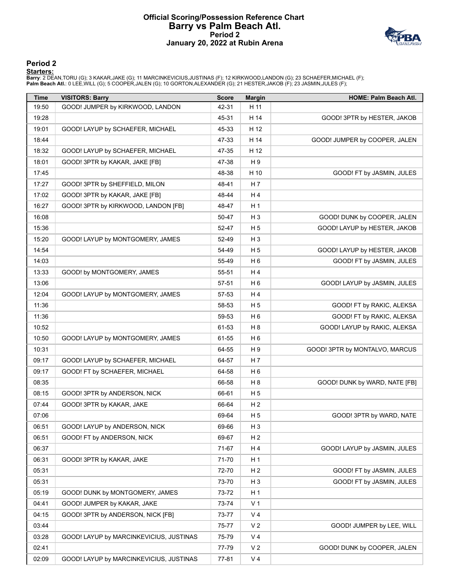#### **Official Scoring/Possession Reference Chart Barry vs Palm Beach Atl. Period 2 January 20, 2022 at Rubin Arena**



#### **Period 2**

<mark>Starters:</mark><br>Barry: 2 DEAN,TORU (G); 3 KAKAR,JAKE (G); 11 MARCINKEVICIUS,JUSTINAS (F); 12 KIRKWOOD,LANDON (G); 23 SCHAEFER,MICHAEL (F);<br>**Palm Beach Atl.**: 0 LEE,WILL (G); 5 COOPER,JALEN (G); 10 GORTON,ALEXANDER (G); 21 HEST

| <b>Time</b> | <b>VISITORS: Barry</b>                  | <b>Score</b> | <b>Margin</b>  | <b>HOME: Palm Beach Atl.</b>   |
|-------------|-----------------------------------------|--------------|----------------|--------------------------------|
| 19:50       | GOOD! JUMPER by KIRKWOOD, LANDON        | 42-31        | H 11           |                                |
| 19:28       |                                         | 45-31        | H 14           | GOOD! 3PTR by HESTER, JAKOB    |
| 19:01       | GOOD! LAYUP by SCHAEFER, MICHAEL        | 45-33        | H 12           |                                |
| 18:44       |                                         | 47-33        | H 14           | GOOD! JUMPER by COOPER, JALEN  |
| 18:32       | GOOD! LAYUP by SCHAEFER, MICHAEL        | 47-35        | H 12           |                                |
| 18:01       | GOOD! 3PTR by KAKAR, JAKE [FB]          | 47-38        | H 9            |                                |
| 17:45       |                                         | 48-38        | H 10           | GOOD! FT by JASMIN, JULES      |
| 17:27       | GOOD! 3PTR by SHEFFIELD, MILON          | 48-41        | H 7            |                                |
| 17:02       | GOOD! 3PTR by KAKAR, JAKE [FB]          | 48-44        | H4             |                                |
| 16:27       | GOOD! 3PTR by KIRKWOOD, LANDON [FB]     | 48-47        | H <sub>1</sub> |                                |
| 16:08       |                                         | 50-47        | $H_3$          | GOOD! DUNK by COOPER, JALEN    |
| 15:36       |                                         | 52-47        | H <sub>5</sub> | GOOD! LAYUP by HESTER, JAKOB   |
| 15:20       | GOOD! LAYUP by MONTGOMERY, JAMES        | 52-49        | $H_3$          |                                |
| 14:54       |                                         | 54-49        | H <sub>5</sub> | GOOD! LAYUP by HESTER, JAKOB   |
| 14:03       |                                         | 55-49        | H <sub>6</sub> | GOOD! FT by JASMIN, JULES      |
| 13:33       | GOOD! by MONTGOMERY, JAMES              | 55-51        | H4             |                                |
| 13:06       |                                         | 57-51        | H <sub>6</sub> | GOOD! LAYUP by JASMIN, JULES   |
| 12:04       | GOOD! LAYUP by MONTGOMERY, JAMES        | 57-53        | H4             |                                |
| 11:36       |                                         | 58-53        | H <sub>5</sub> | GOOD! FT by RAKIC, ALEKSA      |
| 11:36       |                                         | 59-53        | H <sub>6</sub> | GOOD! FT by RAKIC, ALEKSA      |
| 10:52       |                                         | 61-53        | H <sub>8</sub> | GOOD! LAYUP by RAKIC, ALEKSA   |
| 10:50       | GOOD! LAYUP by MONTGOMERY, JAMES        | 61-55        | H <sub>6</sub> |                                |
| 10:31       |                                         | 64-55        | H 9            | GOOD! 3PTR by MONTALVO, MARCUS |
| 09:17       | GOOD! LAYUP by SCHAEFER, MICHAEL        | 64-57        | H 7            |                                |
| 09:17       | GOOD! FT by SCHAEFER, MICHAEL           | 64-58        | H 6            |                                |
| 08:35       |                                         | 66-58        | H <sub>8</sub> | GOOD! DUNK by WARD, NATE [FB]  |
| 08:15       | GOOD! 3PTR by ANDERSON, NICK            | 66-61        | H 5            |                                |
| 07:44       | GOOD! 3PTR by KAKAR, JAKE               | 66-64        | H <sub>2</sub> |                                |
| 07:06       |                                         | 69-64        | H <sub>5</sub> | GOOD! 3PTR by WARD, NATE       |
| 06:51       | GOOD! LAYUP by ANDERSON, NICK           | 69-66        | $H_3$          |                                |
| 06:51       | GOOD! FT by ANDERSON, NICK              | 69-67        | H <sub>2</sub> |                                |
| 06:37       |                                         | 71-67        | H 4            | GOOD! LAYUP by JASMIN, JULES   |
| 06:31       | GOOD! 3PTR by KAKAR, JAKE               | 71-70        | H <sub>1</sub> |                                |
| 05:31       |                                         | 72-70        | H <sub>2</sub> | GOOD! FT by JASMIN, JULES      |
| 05:31       |                                         | 73-70        | H <sub>3</sub> | GOOD! FT by JASMIN, JULES      |
| 05:19       | GOOD! DUNK by MONTGOMERY, JAMES         | 73-72        | H <sub>1</sub> |                                |
| 04:41       | GOOD! JUMPER by KAKAR, JAKE             | 73-74        | V <sub>1</sub> |                                |
| 04:15       | GOOD! 3PTR by ANDERSON, NICK [FB]       | 73-77        | V <sub>4</sub> |                                |
| 03:44       |                                         | 75-77        | V <sub>2</sub> | GOOD! JUMPER by LEE, WILL      |
| 03:28       | GOOD! LAYUP by MARCINKEVICIUS, JUSTINAS | 75-79        | V <sub>4</sub> |                                |
| 02:41       |                                         | 77-79        | V <sub>2</sub> | GOOD! DUNK by COOPER, JALEN    |
| 02:09       | GOOD! LAYUP by MARCINKEVICIUS, JUSTINAS | 77-81        | V <sub>4</sub> |                                |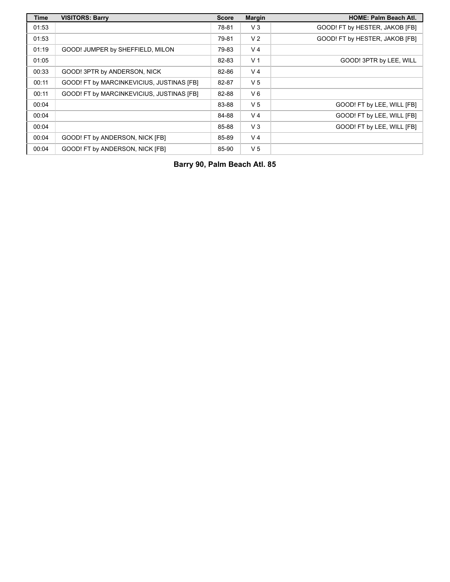| <b>Time</b> | <b>VISITORS: Barry</b>                    | <b>Score</b> | <b>Margin</b>  | <b>HOME: Palm Beach Atl.</b>   |
|-------------|-------------------------------------------|--------------|----------------|--------------------------------|
| 01:53       |                                           | 78-81        | $V_3$          | GOOD! FT by HESTER, JAKOB [FB] |
| 01:53       |                                           | 79-81        | V <sub>2</sub> | GOOD! FT by HESTER, JAKOB [FB] |
| 01:19       | GOOD! JUMPER by SHEFFIELD, MILON          | 79-83        | V <sub>4</sub> |                                |
| 01:05       |                                           | 82-83        | V <sub>1</sub> | GOOD! 3PTR by LEE, WILL        |
| 00:33       | GOOD! 3PTR by ANDERSON, NICK              | 82-86        | V <sub>4</sub> |                                |
| 00:11       | GOOD! FT by MARCINKEVICIUS, JUSTINAS [FB] | 82-87        | V <sub>5</sub> |                                |
| 00:11       | GOOD! FT by MARCINKEVICIUS, JUSTINAS [FB] | 82-88        | $V_6$          |                                |
| 00:04       |                                           | 83-88        | V <sub>5</sub> | GOOD! FT by LEE, WILL [FB]     |
| 00:04       |                                           | 84-88        | V <sub>4</sub> | GOOD! FT by LEE, WILL [FB]     |
| 00:04       |                                           | 85-88        | $V_3$          | GOOD! FT by LEE, WILL [FB]     |
| 00:04       | GOOD! FT by ANDERSON, NICK [FB]           | 85-89        | V <sub>4</sub> |                                |
| 00:04       | GOOD! FT by ANDERSON, NICK [FB]           | 85-90        | V <sub>5</sub> |                                |

**Barry 90, Palm Beach Atl. 85**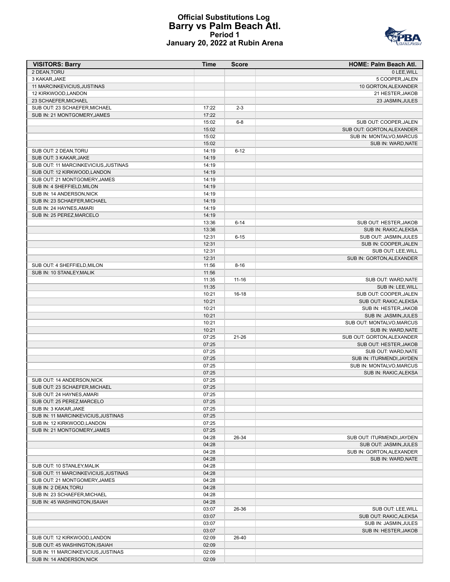#### **Official Substitutions Log Barry vs Palm Beach Atl. Period 1 January 20, 2022 at Rubin Arena**



| <b>VISITORS: Barry</b>               | <b>Time</b> | <b>Score</b> | HOME: Palm Beach Atl.      |
|--------------------------------------|-------------|--------------|----------------------------|
| 2 DEAN, TORU                         |             |              | 0 LEE, WILL                |
| 3 KAKAR, JAKE                        |             |              | 5 COOPER, JALEN            |
| 11 MARCINKEVICIUS, JUSTINAS          |             |              | 10 GORTON, ALEXANDER       |
| 12 KIRKWOOD, LANDON                  |             |              | 21 HESTER, JAKOB           |
| 23 SCHAEFER, MICHAEL                 |             |              | 23 JASMIN, JULES           |
| SUB OUT: 23 SCHAEFER, MICHAEL        | 17:22       | $2 - 3$      |                            |
| SUB IN: 21 MONTGOMERY, JAMES         | 17:22       |              |                            |
|                                      | 15:02       | $6 - 8$      | SUB OUT: COOPER, JALEN     |
|                                      | 15:02       |              | SUB OUT: GORTON, ALEXANDER |
|                                      | 15:02       |              | SUB IN: MONTALVO, MARCUS   |
|                                      | 15:02       |              | SUB IN: WARD, NATE         |
| SUB OUT: 2 DEAN, TORU                | 14:19       | $6 - 12$     |                            |
| SUB OUT: 3 KAKAR, JAKE               | 14:19       |              |                            |
| SUB OUT: 11 MARCINKEVICIUS, JUSTINAS | 14:19       |              |                            |
| SUB OUT: 12 KIRKWOOD, LANDON         | 14:19       |              |                            |
| SUB OUT: 21 MONTGOMERY, JAMES        | 14:19       |              |                            |
| SUB IN: 4 SHEFFIELD, MILON           | 14:19       |              |                            |
| SUB IN: 14 ANDERSON, NICK            | 14:19       |              |                            |
| SUB IN: 23 SCHAEFER, MICHAEL         | 14:19       |              |                            |
| SUB IN: 24 HAYNES, AMARI             | 14:19       |              |                            |
| SUB IN: 25 PEREZ.MARCELO             | 14:19       |              |                            |
|                                      | 13:36       | $6 - 14$     | SUB OUT: HESTER, JAKOB     |
|                                      | 13:36       |              | SUB IN: RAKIC, ALEKSA      |
|                                      | 12:31       | $6 - 15$     | SUB OUT: JASMIN, JULES     |
|                                      | 12:31       |              | SUB IN: COOPER, JALEN      |
|                                      | 12:31       |              | SUB OUT: LEE, WILL         |
|                                      | 12:31       |              | SUB IN: GORTON, ALEXANDER  |
| SUB OUT: 4 SHEFFIELD, MILON          | 11:56       | $8 - 16$     |                            |
| SUB IN: 10 STANLEY.MALIK             | 11:56       |              |                            |
|                                      | 11:35       | $11 - 16$    | SUB OUT: WARD, NATE        |
|                                      | 11:35       |              | SUB IN: LEE, WILL          |
|                                      | 10:21       | $16-18$      | SUB OUT: COOPER, JALEN     |
|                                      | 10:21       |              | SUB OUT: RAKIC, ALEKSA     |
|                                      | 10:21       |              | SUB IN: HESTER, JAKOB      |
|                                      | 10:21       |              | SUB IN: JASMIN, JULES      |
|                                      | 10:21       |              | SUB OUT: MONTALVO, MARCUS  |
|                                      | 10:21       |              | SUB IN: WARD, NATE         |
|                                      | 07:25       | $21 - 26$    | SUB OUT: GORTON, ALEXANDER |
|                                      | 07:25       |              | SUB OUT: HESTER, JAKOB     |
|                                      | 07:25       |              | SUB OUT: WARD, NATE        |
|                                      | 07:25       |              | SUB IN: ITURMENDI, JAYDEN  |
|                                      | 07:25       |              | SUB IN: MONTALVO, MARCUS   |
|                                      | 07:25       |              | SUB IN: RAKIC, ALEKSA      |
| SUB OUT: 14 ANDERSON, NICK           | 07:25       |              |                            |
| SUB OUT: 23 SCHAEFER, MICHAEL        | 07:25       |              |                            |
| SUB OUT: 24 HAYNES, AMARI            | 07:25       |              |                            |
| SUB OUT: 25 PEREZ, MARCELO           | 07:25       |              |                            |
| SUB IN: 3 KAKAR, JAKE                | 07:25       |              |                            |
| SUB IN: 11 MARCINKEVICIUS, JUSTINAS  | 07:25       |              |                            |
| SUB IN: 12 KIRKWOOD, LANDON          | 07:25       |              |                            |
| SUB IN: 21 MONTGOMERY, JAMES         | 07:25       |              |                            |
|                                      | 04:28       | 26-34        | SUB OUT: ITURMENDI, JAYDEN |
|                                      | 04:28       |              | SUB OUT: JASMIN, JULES     |
|                                      | 04:28       |              | SUB IN: GORTON, ALEXANDER  |
|                                      | 04:28       |              | SUB IN: WARD, NATE         |
| SUB OUT: 10 STANLEY, MALIK           | 04:28       |              |                            |
| SUB OUT: 11 MARCINKEVICIUS.JUSTINAS  | 04:28       |              |                            |
| SUB OUT: 21 MONTGOMERY, JAMES        | 04:28       |              |                            |
| SUB IN: 2 DEAN, TORU                 | 04:28       |              |                            |
| SUB IN: 23 SCHAEFER, MICHAEL         | 04:28       |              |                            |
| SUB IN: 45 WASHINGTON, ISAIAH        | 04:28       |              |                            |
|                                      | 03:07       | 26-36        | SUB OUT: LEE, WILL         |
|                                      | 03:07       |              | SUB OUT: RAKIC, ALEKSA     |
|                                      | 03:07       |              | SUB IN: JASMIN, JULES      |
|                                      | 03:07       |              | SUB IN: HESTER, JAKOB      |
| SUB OUT: 12 KIRKWOOD, LANDON         | 02:09       | 26-40        |                            |
| SUB OUT: 45 WASHINGTON, ISAIAH       | 02:09       |              |                            |
| SUB IN: 11 MARCINKEVICIUS, JUSTINAS  | 02:09       |              |                            |
| SUB IN: 14 ANDERSON, NICK            | 02:09       |              |                            |
|                                      |             |              |                            |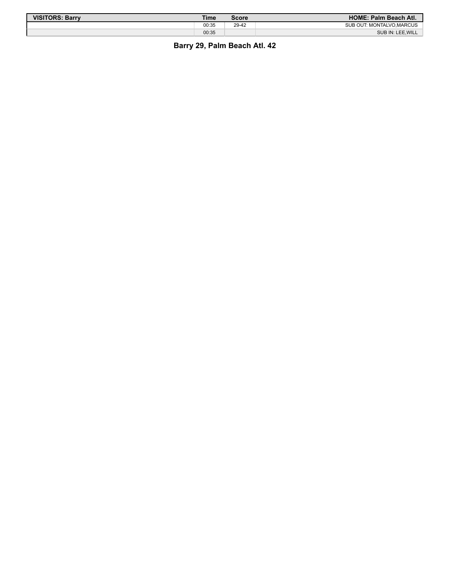| <b>VISITORS: Barry</b> | Time  | Score | <b>HOME: Palm Beach Atl.</b> |
|------------------------|-------|-------|------------------------------|
|                        | 00:35 | 29-42 | SUB OUT: MONTALVO.MARCUS     |
|                        | 00:35 |       | SUB IN: LEE, WILL            |

**Barry 29, Palm Beach Atl. 42**